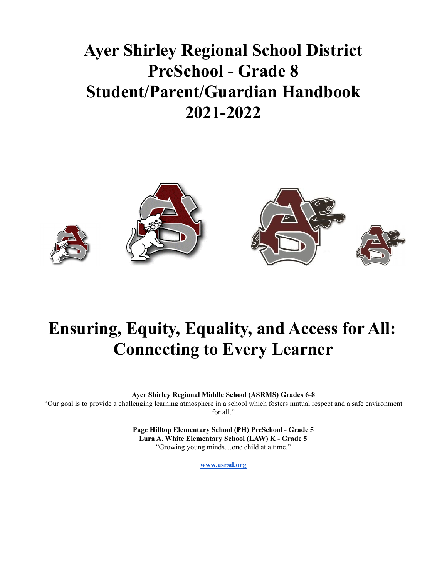## **Ayer Shirley Regional School District PreSchool - Grade 8 Student/Parent/Guardian Handbook 2021-2022**



## **Ensuring, Equity, Equality, and Access for All: Connecting to Every Learner**

**Ayer Shirley Regional Middle School (ASRMS) Grades 6-8**

"Our goal is to provide a challenging learning atmosphere in a school which fosters mutual respect and a safe environment for all."

> **Page Hilltop Elementary School (PH) PreSchool - Grade 5 Lura A. White Elementary School (LAW) K - Grade 5** "Growing young minds…one child at a time."

> > **[www.asrsd.org](http://www.asrsd.org)**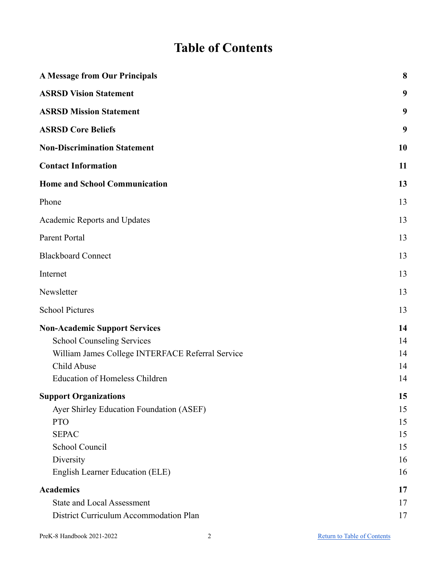### **Table of Contents**

<span id="page-1-0"></span>

| <b>A Message from Our Principals</b>             | 8         |
|--------------------------------------------------|-----------|
| <b>ASRSD Vision Statement</b>                    | 9         |
| <b>ASRSD Mission Statement</b>                   | 9         |
| <b>ASRSD Core Beliefs</b>                        | 9         |
| <b>Non-Discrimination Statement</b>              | <b>10</b> |
| <b>Contact Information</b>                       | 11        |
| <b>Home and School Communication</b>             | 13        |
| Phone                                            | 13        |
| Academic Reports and Updates                     | 13        |
| Parent Portal                                    | 13        |
| <b>Blackboard Connect</b>                        | 13        |
| Internet                                         | 13        |
| Newsletter                                       | 13        |
| <b>School Pictures</b>                           | 13        |
| <b>Non-Academic Support Services</b>             | 14        |
| <b>School Counseling Services</b>                | 14        |
| William James College INTERFACE Referral Service | 14        |
| Child Abuse                                      | 14        |
| <b>Education of Homeless Children</b>            | 14        |
| <b>Support Organizations</b>                     | 15        |
| Ayer Shirley Education Foundation (ASEF)         | 15        |
| <b>PTO</b>                                       | 15        |
| <b>SEPAC</b>                                     | 15        |
| School Council                                   | 15        |
| Diversity                                        | 16        |
| English Learner Education (ELE)                  | 16        |
| <b>Academics</b>                                 | 17        |
| <b>State and Local Assessment</b>                | 17        |
| District Curriculum Accommodation Plan           | 17        |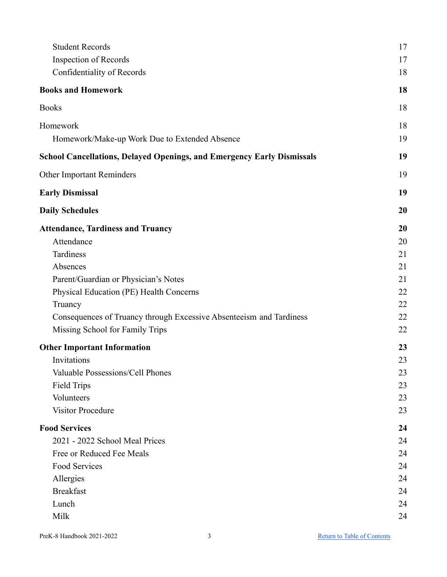| <b>Student Records</b>                                                        | 17 |
|-------------------------------------------------------------------------------|----|
| <b>Inspection of Records</b>                                                  | 17 |
| Confidentiality of Records                                                    | 18 |
| <b>Books and Homework</b>                                                     | 18 |
| <b>Books</b>                                                                  | 18 |
| Homework                                                                      | 18 |
| Homework/Make-up Work Due to Extended Absence                                 | 19 |
| <b>School Cancellations, Delayed Openings, and Emergency Early Dismissals</b> | 19 |
| Other Important Reminders                                                     | 19 |
| <b>Early Dismissal</b>                                                        | 19 |
| <b>Daily Schedules</b>                                                        | 20 |
| <b>Attendance, Tardiness and Truancy</b>                                      | 20 |
| Attendance                                                                    | 20 |
| Tardiness                                                                     | 21 |
| Absences                                                                      | 21 |
| Parent/Guardian or Physician's Notes                                          | 21 |
| Physical Education (PE) Health Concerns                                       | 22 |
| Truancy                                                                       | 22 |
| Consequences of Truancy through Excessive Absenteeism and Tardiness           | 22 |
| Missing School for Family Trips                                               | 22 |
| <b>Other Important Information</b>                                            | 23 |
| Invitations                                                                   | 23 |
| Valuable Possessions/Cell Phones                                              | 23 |
| <b>Field Trips</b>                                                            | 23 |
| Volunteers                                                                    | 23 |
| <b>Visitor Procedure</b>                                                      | 23 |
| <b>Food Services</b>                                                          | 24 |
| 2021 - 2022 School Meal Prices                                                | 24 |
| Free or Reduced Fee Meals                                                     | 24 |
| Food Services                                                                 | 24 |
| Allergies                                                                     | 24 |
| <b>Breakfast</b>                                                              | 24 |
| Lunch                                                                         | 24 |
| Milk                                                                          | 24 |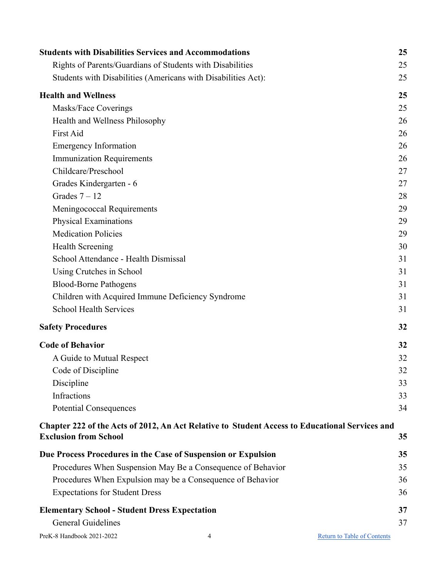| <b>Students with Disabilities Services and Accommodations</b> |                                                                                                | 25                                 |
|---------------------------------------------------------------|------------------------------------------------------------------------------------------------|------------------------------------|
| Rights of Parents/Guardians of Students with Disabilities     |                                                                                                | 25                                 |
| Students with Disabilities (Americans with Disabilities Act): |                                                                                                | 25                                 |
| <b>Health and Wellness</b>                                    |                                                                                                | 25                                 |
| Masks/Face Coverings                                          |                                                                                                | 25                                 |
| Health and Wellness Philosophy                                |                                                                                                | 26                                 |
| First Aid                                                     |                                                                                                | 26                                 |
| <b>Emergency Information</b>                                  |                                                                                                | 26                                 |
| <b>Immunization Requirements</b>                              |                                                                                                | 26                                 |
| Childcare/Preschool                                           |                                                                                                | 27                                 |
| Grades Kindergarten - 6                                       |                                                                                                | 27                                 |
| Grades $7 - 12$                                               |                                                                                                | 28                                 |
| Meningococcal Requirements                                    |                                                                                                | 29                                 |
| Physical Examinations                                         |                                                                                                | 29                                 |
| <b>Medication Policies</b>                                    |                                                                                                | 29                                 |
| <b>Health Screening</b>                                       |                                                                                                | 30                                 |
| School Attendance - Health Dismissal                          |                                                                                                | 31                                 |
| Using Crutches in School                                      |                                                                                                | 31                                 |
| <b>Blood-Borne Pathogens</b>                                  |                                                                                                | 31                                 |
| Children with Acquired Immune Deficiency Syndrome             |                                                                                                | 31                                 |
| <b>School Health Services</b>                                 |                                                                                                | 31                                 |
| <b>Safety Procedures</b>                                      |                                                                                                | 32                                 |
| <b>Code of Behavior</b>                                       |                                                                                                | 32                                 |
| A Guide to Mutual Respect                                     |                                                                                                | 32                                 |
| Code of Discipline                                            |                                                                                                | 32                                 |
| Discipline                                                    |                                                                                                | 33                                 |
| Infractions                                                   |                                                                                                | 33                                 |
| <b>Potential Consequences</b>                                 |                                                                                                | 34                                 |
|                                                               | Chapter 222 of the Acts of 2012, An Act Relative to Student Access to Educational Services and |                                    |
| <b>Exclusion from School</b>                                  |                                                                                                | 35                                 |
| Due Process Procedures in the Case of Suspension or Expulsion |                                                                                                | 35                                 |
|                                                               | Procedures When Suspension May Be a Consequence of Behavior                                    | 35                                 |
|                                                               | Procedures When Expulsion may be a Consequence of Behavior                                     | 36                                 |
| <b>Expectations for Student Dress</b>                         |                                                                                                | 36                                 |
| <b>Elementary School - Student Dress Expectation</b>          |                                                                                                | 37                                 |
| <b>General Guidelines</b>                                     |                                                                                                | 37                                 |
| PreK-8 Handbook 2021-2022                                     | 4                                                                                              | <b>Return to Table of Contents</b> |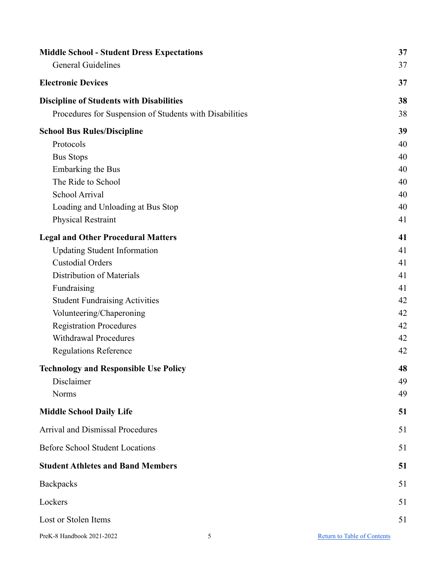| <b>Middle School - Student Dress Expectations</b>       | 37                                 |
|---------------------------------------------------------|------------------------------------|
| <b>General Guidelines</b>                               | 37                                 |
| <b>Electronic Devices</b>                               | 37                                 |
| <b>Discipline of Students with Disabilities</b>         | 38                                 |
| Procedures for Suspension of Students with Disabilities | 38                                 |
| <b>School Bus Rules/Discipline</b>                      | 39                                 |
| Protocols                                               | 40                                 |
| <b>Bus Stops</b>                                        | 40                                 |
| <b>Embarking the Bus</b>                                | 40                                 |
| The Ride to School                                      | 40                                 |
| School Arrival                                          | 40                                 |
| Loading and Unloading at Bus Stop                       | 40                                 |
| <b>Physical Restraint</b>                               | 41                                 |
| <b>Legal and Other Procedural Matters</b>               | 41                                 |
| <b>Updating Student Information</b>                     | 41                                 |
| <b>Custodial Orders</b>                                 | 41                                 |
| Distribution of Materials                               | 41                                 |
| Fundraising                                             | 41                                 |
| <b>Student Fundraising Activities</b>                   | 42                                 |
| Volunteering/Chaperoning                                | 42                                 |
| <b>Registration Procedures</b>                          | 42                                 |
| Withdrawal Procedures                                   | 42                                 |
| <b>Regulations Reference</b>                            | 42                                 |
| <b>Technology and Responsible Use Policy</b>            | 48                                 |
| Disclaimer                                              | 49                                 |
| <b>Norms</b>                                            | 49                                 |
| <b>Middle School Daily Life</b>                         | 51                                 |
| <b>Arrival and Dismissal Procedures</b>                 | 51                                 |
| <b>Before School Student Locations</b>                  | 51                                 |
| <b>Student Athletes and Band Members</b>                | 51                                 |
| Backpacks                                               | 51                                 |
| Lockers                                                 | 51                                 |
| Lost or Stolen Items                                    | 51                                 |
| PreK-8 Handbook 2021-2022<br>5                          | <b>Return to Table of Contents</b> |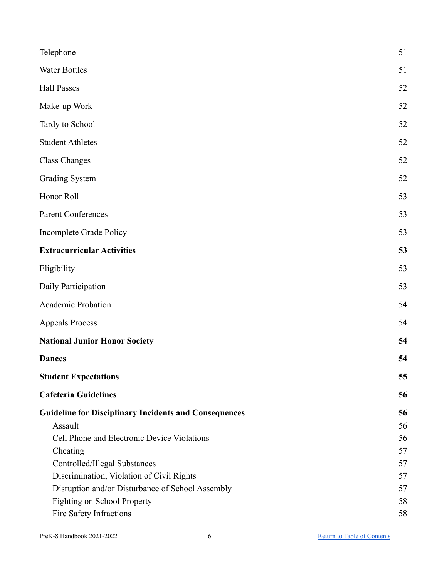| Telephone                                                    | 51 |
|--------------------------------------------------------------|----|
| <b>Water Bottles</b>                                         | 51 |
| <b>Hall Passes</b>                                           | 52 |
| Make-up Work                                                 | 52 |
| Tardy to School                                              | 52 |
| <b>Student Athletes</b>                                      | 52 |
| <b>Class Changes</b>                                         | 52 |
| <b>Grading System</b>                                        | 52 |
| Honor Roll                                                   | 53 |
| Parent Conferences                                           | 53 |
| Incomplete Grade Policy                                      | 53 |
| <b>Extracurricular Activities</b>                            | 53 |
| Eligibility                                                  | 53 |
| Daily Participation                                          | 53 |
| Academic Probation                                           | 54 |
| <b>Appeals Process</b>                                       | 54 |
| <b>National Junior Honor Society</b>                         | 54 |
| <b>Dances</b>                                                | 54 |
| <b>Student Expectations</b>                                  | 55 |
| <b>Cafeteria Guidelines</b>                                  | 56 |
| <b>Guideline for Disciplinary Incidents and Consequences</b> | 56 |
| Assault                                                      | 56 |
| Cell Phone and Electronic Device Violations                  | 56 |
| Cheating                                                     | 57 |
| Controlled/Illegal Substances                                | 57 |
| Discrimination, Violation of Civil Rights                    | 57 |
| Disruption and/or Disturbance of School Assembly             | 57 |
| Fighting on School Property                                  | 58 |
| Fire Safety Infractions                                      | 58 |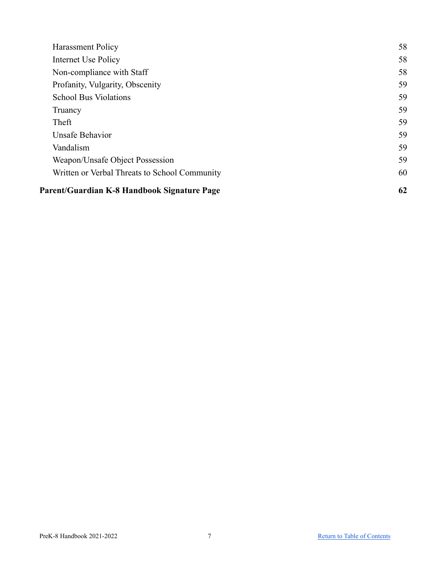| <b>Harassment Policy</b>                      | 58 |
|-----------------------------------------------|----|
| Internet Use Policy                           | 58 |
| Non-compliance with Staff                     | 58 |
| Profanity, Vulgarity, Obscenity               | 59 |
| <b>School Bus Violations</b>                  | 59 |
| Truancy                                       | 59 |
| Theft                                         | 59 |
| <b>Unsafe Behavior</b>                        | 59 |
| Vandalism                                     | 59 |
| Weapon/Unsafe Object Possession               | 59 |
| Written or Verbal Threats to School Community | 60 |
| Parent/Guardian K-8 Handbook Signature Page   | 62 |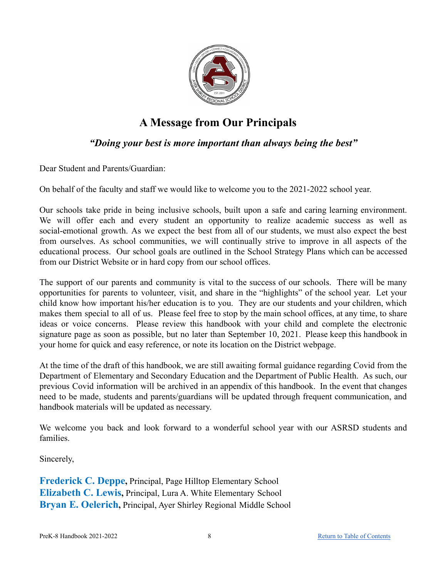

### **A Message from Our Principals**

### *"Doing your best is more important than always being the best"*

<span id="page-7-0"></span>Dear Student and Parents/Guardian:

On behalf of the faculty and staff we would like to welcome you to the 2021-2022 school year.

Our schools take pride in being inclusive schools, built upon a safe and caring learning environment. We will offer each and every student an opportunity to realize academic success as well as social-emotional growth. As we expect the best from all of our students, we must also expect the best from ourselves. As school communities, we will continually strive to improve in all aspects of the educational process. Our school goals are outlined in the School Strategy Plans which can be accessed from our District Website or in hard copy from our school offices.

The support of our parents and community is vital to the success of our schools. There will be many opportunities for parents to volunteer, visit, and share in the "highlights" of the school year. Let your child know how important his/her education is to you. They are our students and your children, which makes them special to all of us. Please feel free to stop by the main school offices, at any time, to share ideas or voice concerns. Please review this handbook with your child and complete the electronic signature page as soon as possible, but no later than September 10, 2021. Please keep this handbook in your home for quick and easy reference, or note its location on the District webpage.

At the time of the draft of this handbook, we are still awaiting formal guidance regarding Covid from the Department of Elementary and Secondary Education and the Department of Public Health. As such, our previous Covid information will be archived in an appendix of this handbook. In the event that changes need to be made, students and parents/guardians will be updated through frequent communication, and handbook materials will be updated as necessary.

We welcome you back and look forward to a wonderful school year with our ASRSD students and families.

Sincerely,

**Frederick C. Deppe,** Principal, Page Hilltop Elementary School **Elizabeth C. Lewis,** Principal, Lura A. White Elementary School **Bryan E. Oelerich,** Principal, Ayer Shirley Regional Middle School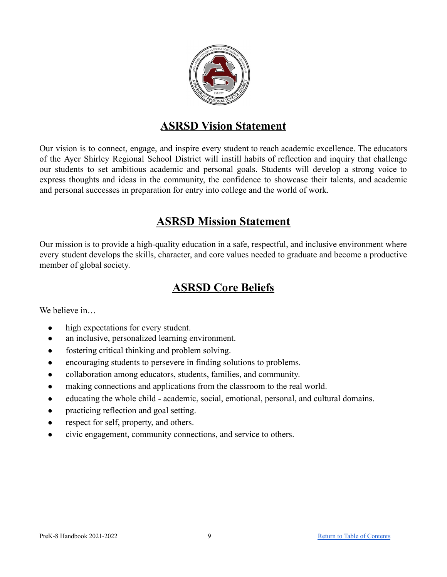

### **ASRSD Vision Statement**

<span id="page-8-0"></span>Our vision is to connect, engage, and inspire every student to reach academic excellence. The educators of the Ayer Shirley Regional School District will instill habits of reflection and inquiry that challenge our students to set ambitious academic and personal goals. Students will develop a strong voice to express thoughts and ideas in the community, the confidence to showcase their talents, and academic and personal successes in preparation for entry into college and the world of work.

### **ASRSD Mission Statement**

<span id="page-8-1"></span>Our mission is to provide a high-quality education in a safe, respectful, and inclusive environment where every student develops the skills, character, and core values needed to graduate and become a productive member of global society.

### **ASRSD Core Beliefs**

<span id="page-8-2"></span>We believe in

- **●** high expectations for every student.
- an inclusive, personalized learning environment.
- fostering critical thinking and problem solving.
- encouraging students to persevere in finding solutions to problems.
- collaboration among educators, students, families, and community.
- making connections and applications from the classroom to the real world.
- educating the whole child academic, social, emotional, personal, and cultural domains.
- practicing reflection and goal setting.
- respect for self, property, and others.
- civic engagement, community connections, and service to others.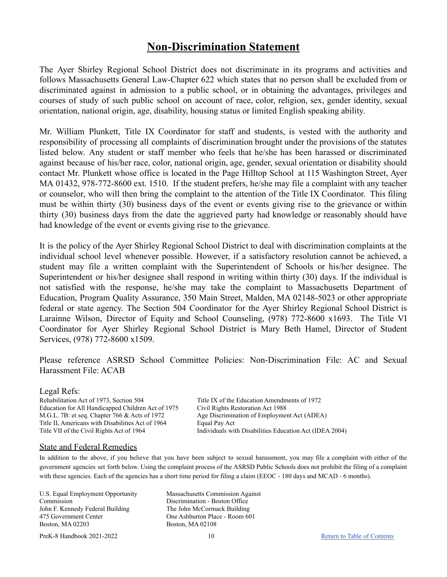### **Non-Discrimination Statement**

<span id="page-9-0"></span>The Ayer Shirley Regional School District does not discriminate in its programs and activities and follows Massachusetts General Law-Chapter 622 which states that no person shall be excluded from or discriminated against in admission to a public school, or in obtaining the advantages, privileges and courses of study of such public school on account of race, color, religion, sex, gender identity, sexual orientation, national origin, age, disability, housing status or limited English speaking ability.

Mr. William Plunkett, Title IX Coordinator for staff and students, is vested with the authority and responsibility of processing all complaints of discrimination brought under the provisions of the statutes listed below. Any student or staff member who feels that he/she has been harassed or discriminated against because of his/her race, color, national origin, age, gender, sexual orientation or disability should contact Mr. Plunkett whose office is located in the Page Hilltop School at 115 Washington Street, Ayer MA 01432, 978-772-8600 ext. 1510. If the student prefers, he/she may file a complaint with any teacher or counselor, who will then bring the complaint to the attention of the Title IX Coordinator. This filing must be within thirty (30) business days of the event or events giving rise to the grievance or within thirty (30) business days from the date the aggrieved party had knowledge or reasonably should have had knowledge of the event or events giving rise to the grievance.

It is the policy of the Ayer Shirley Regional School District to deal with discrimination complaints at the individual school level whenever possible. However, if a satisfactory resolution cannot be achieved, a student may file a written complaint with the Superintendent of Schools or his/her designee. The Superintendent or his/her designee shall respond in writing within thirty (30) days. If the individual is not satisfied with the response, he/she may take the complaint to Massachusetts Department of Education, Program Quality Assurance, 350 Main Street, Malden, MA 02148-5023 or other appropriate federal or state agency. The Section 504 Coordinator for the Ayer Shirley Regional School District is Larainne Wilson, Director of Equity and School Counseling, (978) 772-8600 x1693. The Title VI Coordinator for Ayer Shirley Regional School District is Mary Beth Hamel, Director of Student Services, (978) 772-8600 x1509.

Please reference ASRSD School Committee Policies: Non-Discrimination File: AC and Sexual Harassment File: ACAB

#### Legal Refs:

Rehabilitation Act of 1973, Section 504 Title IX of the Education Amendments of 1972 Education for All Handicapped Children Act of 1975 Civil Rights Restoration Act 1988 M.G.L. 7B: et seq. Chapter 766 & Acts of 1972 Age Discrimination of Employment Act (ADEA) Title II, Americans with Disabilities Act of 1964 Equal Pay Act

Title VII of the Civil Rights Act of 1964 Individuals with Disabilities Education Act (IDEA 2004)

#### State and Federal Remedies

In addition to the above, if you believe that you have been subject to sexual harassment, you may file a complaint with either of the government agencies set forth below. Using the complaint process of the ASRSD Public Schools does not prohibit the filing of a complaint with these agencies. Each of the agencies has a short time period for filing a claim (EEOC - 180 days and MCAD - 6 months).

U.S. Equal Employment Opportunity Commission John F. Kennedy Federal Building 475 Government Center Boston, MA 02203

PreK-8 Handbook 2021-2022 10 10 [Return to Table of Contents](#page-1-0)

Massachusetts Commission Against Discrimination - Boston Office The John McCormack Building One Ashburton Place - Room 601 Boston, MA 02108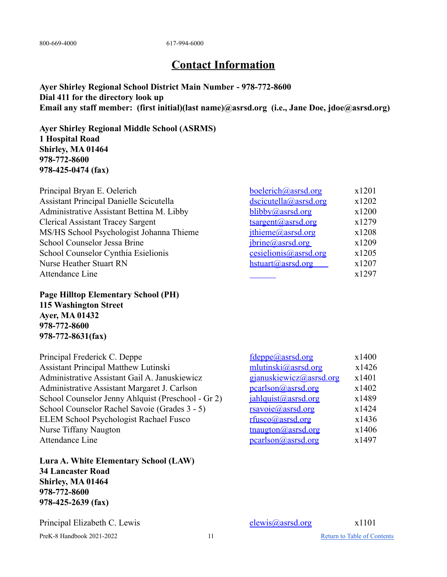<span id="page-10-0"></span>800-669-4000 617-994-6000

### **Contact Information**

**Ayer Shirley Regional School District Main Number - 978-772-8600 Dial 411 for the directory look up Email any staff member: (first initial)(last name)@asrsd.org (i.e., Jane Doe, jdoe@asrsd.org)**

**Ayer Shirley Regional Middle School (ASRMS) 1 Hospital Road Shirley, MA 01464 978-772-8600 978-425-0474 (fax)**

| Principal Bryan E. Oelerich                      | boelerich@asrsd.org          | x1201 |
|--------------------------------------------------|------------------------------|-------|
| <b>Assistant Principal Danielle Scicutella</b>   | <u>dscicutella@asrsd.org</u> | x1202 |
| <b>Administrative Assistant Bettina M. Libby</b> | blibby@asrsd.org             | x1200 |
| <b>Clerical Assistant Tracey Sargent</b>         | tsargent@asrsd.org           | x1279 |
| MS/HS School Psychologist Johanna Thieme         | jthieme@asrsd.org            | x1208 |
| School Counselor Jessa Brine                     | jbrine@asrsd.org             | x1209 |
| School Counselor Cynthia Esielionis              | cesielionis@asrsd.org        | x1205 |
| <b>Nurse Heather Stuart RN</b>                   | hstuart@asrsd.org            | x1207 |
| Attendance Line                                  |                              | x1297 |
|                                                  |                              |       |

**Page Hilltop Elementary School (PH) 115 Washington Street Ayer, MA 01432 978-772-8600 978-772-8631(fax)**

Principal Frederick C. Deppe Assistant Principal Matthew Lutinski Administrative Assistant Gail A. Januskiewicz Administrative Assistant Margaret J. Carlson School Counselor Jenny Ahlquist (Preschool - Gr 2) School Counselor Rachel Savoie (Grades 3 - 5) ELEM School Psychologist Rachael Fusco Nurse Tiffany Naugton Attendance Line

**Lura A. White Elementary School (LAW) 34 Lancaster Road Shirley, MA 01464 978-772-8600 978-425-2639 (fax)**

Principal Elizabeth C. Lewis elewis elewis elewis elewis eleminosity of the state of the state of the state of the state of the state of the state of the state of the state of the state of the state of the state of the sta

| fdeppe@asrsd.org                  | x1400 |
|-----------------------------------|-------|
| mlutinski@asrsd.org               | x1426 |
| gjanuskiewicz@asrsd.org           | x1401 |
| pcarlson@asrsd.org                | x1402 |
| $jahlquist$ ( $Q$ ) assets or $g$ | x1489 |
| rsavoie@asrsd.org                 | x1424 |
| rfusco@asrsd.org                  | x1436 |
| tnaugton@asrsd.org                | x1406 |
| pcarlson@asrsd.org                | x1497 |
|                                   |       |

PreK-8 Handbook 2021-2022 11 2022 12:00 11 [Return to Table of Contents](#page-1-0)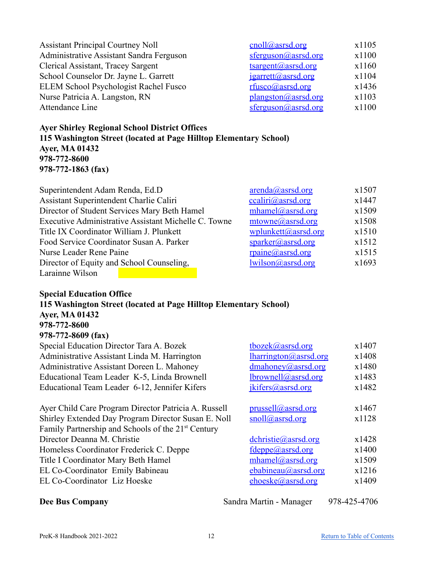| <b>Assistant Principal Courtney Noll</b> | cnoll@asrsd.org     | x1105 |
|------------------------------------------|---------------------|-------|
| Administrative Assistant Sandra Ferguson | sferguson@asrsd.org | x1100 |
| Clerical Assistant, Tracey Sargent       | tsargent@asrsd.org  | x1160 |
| School Counselor Dr. Jayne L. Garrett    | jgarrett@asrsd.org  | x1104 |
| ELEM School Psychologist Rachel Fusco    | rfusco@asrsd.org    | x1436 |
| Nurse Patricia A. Langston, RN           | plangston@assrd.org | x1103 |
| Attendance Line                          | sferguson@asrsd.org | x1100 |

### **Ayer Shirley Regional School District Offices 115 Washington Street (located at Page Hilltop Elementary School) Ayer, MA 01432 978-772-8600 978-772-1863 (fax)**

| Superintendent Adam Renda, Ed.D.                     | $\frac{\text{arenda}(a) \text{assrd.org}}{a}$ | x1507 |
|------------------------------------------------------|-----------------------------------------------|-------|
| Assistant Superintendent Charlie Caliri              | ccaliri@assrd.org                             | x1447 |
| Director of Student Services Mary Beth Hamel         | $mhamel$ ( $Q$ ) asset or $q$                 | x1509 |
| Executive Administrative Assistant Michelle C. Towne | $mtowne(a)$ asrsd.org                         | x1508 |
| Title IX Coordinator William J. Plunkett             | wplunkett@asrsd.org                           | x1510 |
| Food Service Coordinator Susan A. Parker             | $sparker(a)$ asrsd.org                        | x1512 |
| Nurse Leader Rene Paine                              | rpaine@asrsd.org                              | x1515 |
| Director of Equity and School Counseling,            | lwilson@assrd.org                             | x1693 |
| Larainne Wilson                                      |                                               |       |

### **Special Education Office 115 Washington Street (located at Page Hilltop Elementary School) Ayer, MA 01432 978-772-8600 978-772-8609 (fax)** Special Education Director Tara A. Bozek tbozek tbozek alassad.org x1407 Administrative Assistant Linda M. Harrington *Iharrington @asrsd.org* x1408 Administrative Assistant Doreen L. Mahoney *[dmahoney@asrsd.org](mailto:dmahoney@asrsd.org)* x1480<br>Educational Team Leader K-5, Linda Brownell *brownell@asrsd.org* x1483 Educational Team Leader K-5, Linda Brownell  $\omega$ asrsd.org x1483 Educational Team Leader 6-12, Jennifer Kifers  $\frac{1}{\text{kifers}(a) \cdot \text{abs} \cdot \text{arg}}$  x1482

| Ayer Child Care Program Director Patricia A. Russell           | prussell@asrsd.org       | x1467 |
|----------------------------------------------------------------|--------------------------|-------|
| Shirley Extended Day Program Director Susan E. Noll            | snoll@asrsd.org          | x1128 |
| Family Partnership and Schools of the 21 <sup>st</sup> Century |                          |       |
| Director Deanna M. Christie                                    | $dchristie(a)$ asrsd.org | x1428 |
| Homeless Coordinator Frederick C. Deppe                        | fdeppe@asrsd.org         | x1400 |
| Title I Coordinator Mary Beth Hamel                            | mhamel@asrsd.org         | x1509 |
| EL Co-Coordinator Emily Babineau                               | ebabineau@asrsd.org      | x1216 |
| EL Co-Coordinator Liz Hoeske                                   | ehoeske@asrsd.org        | x1409 |
|                                                                |                          |       |

**Dee Bus Company** Sandra Martin - Manager 978-425-4706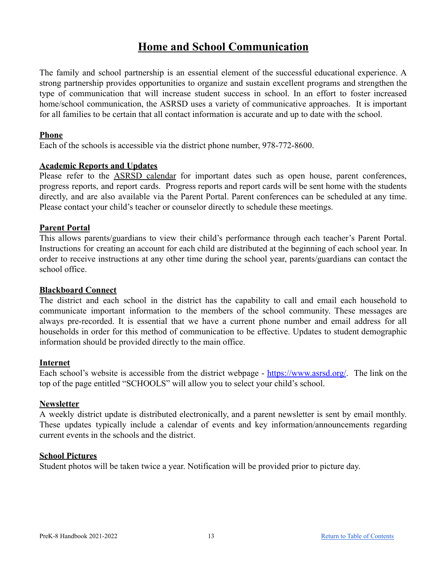### **Home and School Communication**

<span id="page-12-0"></span>The family and school partnership is an essential element of the successful educational experience. A strong partnership provides opportunities to organize and sustain excellent programs and strengthen the type of communication that will increase student success in school. In an effort to foster increased home/school communication, the ASRSD uses a variety of communicative approaches. It is important for all families to be certain that all contact information is accurate and up to date with the school.

### <span id="page-12-1"></span>**Phone**

Each of the schools is accessible via the district phone number, 978-772-8600.

### <span id="page-12-2"></span>**Academic Reports and Updates**

Please refer to the ASRSD [calendar](https://www.asrsd.org/files/3515/5421/3885/2019_2020_Calendar_RCSApproved_3252019.pdf) for important dates such as open house, parent conferences, progress reports, and report cards. Progress reports and report cards will be sent home with the students directly, and are also available via the Parent Portal. Parent conferences can be scheduled at any time. Please contact your child's teacher or counselor directly to schedule these meetings.

### <span id="page-12-3"></span>**Parent Portal**

This allows parents/guardians to view their child's performance through each teacher's Parent Portal. Instructions for creating an account for each child are distributed at the beginning of each school year. In order to receive instructions at any other time during the school year, parents/guardians can contact the school office.

### <span id="page-12-4"></span>**Blackboard Connect**

The district and each school in the district has the capability to call and email each household to communicate important information to the members of the school community. These messages are always pre-recorded. It is essential that we have a current phone number and email address for all households in order for this method of communication to be effective. Updates to student demographic information should be provided directly to the main office.

### <span id="page-12-5"></span>**Internet**

Each school's website is accessible from the district webpage - <https://www.asrsd.org/>. The link on the top of the page entitled "SCHOOLS" will allow you to select your child's school.

### <span id="page-12-6"></span>**Newsletter**

A weekly district update is distributed electronically, and a parent newsletter is sent by email monthly. These updates typically include a calendar of events and key information/announcements regarding current events in the schools and the district.

### <span id="page-12-7"></span>**School Pictures**

Student photos will be taken twice a year. Notification will be provided prior to picture day.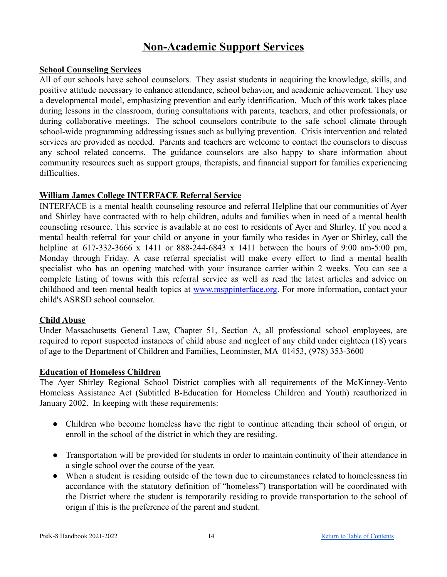### **Non-Academic Support Services**

### <span id="page-13-1"></span><span id="page-13-0"></span>**School Counseling Services**

All of our schools have school counselors. They assist students in acquiring the knowledge, skills, and positive attitude necessary to enhance attendance, school behavior, and academic achievement. They use a developmental model, emphasizing prevention and early identification. Much of this work takes place during lessons in the classroom, during consultations with parents, teachers, and other professionals, or during collaborative meetings. The school counselors contribute to the safe school climate through school-wide programming addressing issues such as bullying prevention. Crisis intervention and related services are provided as needed. Parents and teachers are welcome to contact the counselors to discuss any school related concerns. The guidance counselors are also happy to share information about community resources such as support groups, therapists, and financial support for families experiencing difficulties.

### <span id="page-13-2"></span>**William James College INTERFACE Referral Service**

INTERFACE is a mental health counseling resource and referral Helpline that our communities of Ayer and Shirley have contracted with to help children, adults and families when in need of a mental health counseling resource. This service is available at no cost to residents of Ayer and Shirley. If you need a mental health referral for your child or anyone in your family who resides in Ayer or Shirley, call the helpline at 617-332-3666 x 1411 or 888-244-6843 x 1411 between the hours of 9:00 am-5:00 pm, Monday through Friday. A case referral specialist will make every effort to find a mental health specialist who has an opening matched with your insurance carrier within 2 weeks. You can see a complete listing of towns with this referral service as well as read the latest articles and advice on childhood and teen mental health topics at [www.msppinterface.org.](http://www.msppinterface.org/) For more information, contact your child's ASRSD school counselor.

### <span id="page-13-3"></span>**Child Abuse**

Under Massachusetts General Law, Chapter 51, Section A, all professional school employees, are required to report suspected instances of child abuse and neglect of any child under eighteen (18) years of age to the Department of Children and Families, Leominster, MA 01453, (978) 353-3600

### <span id="page-13-4"></span>**Education of Homeless Children**

The Ayer Shirley Regional School District complies with all requirements of the McKinney-Vento Homeless Assistance Act (Subtitled B-Education for Homeless Children and Youth) reauthorized in January 2002. In keeping with these requirements:

- Children who become homeless have the right to continue attending their school of origin, or enroll in the school of the district in which they are residing.
- Transportation will be provided for students in order to maintain continuity of their attendance in a single school over the course of the year.
- When a student is residing outside of the town due to circumstances related to homelessness (in accordance with the statutory definition of "homeless") transportation will be coordinated with the District where the student is temporarily residing to provide transportation to the school of origin if this is the preference of the parent and student.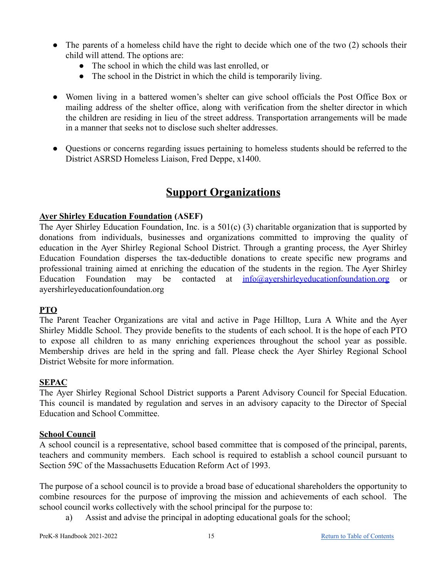- The parents of a homeless child have the right to decide which one of the two (2) schools their child will attend. The options are:
	- The school in which the child was last enrolled, or
	- The school in the District in which the child is temporarily living.
- Women living in a battered women's shelter can give school officials the Post Office Box or mailing address of the shelter office, along with verification from the shelter director in which the children are residing in lieu of the street address. Transportation arrangements will be made in a manner that seeks not to disclose such shelter addresses.
- Questions or concerns regarding issues pertaining to homeless students should be referred to the District ASRSD Homeless Liaison, Fred Deppe, x1400.

### **Support Organizations**

### <span id="page-14-1"></span><span id="page-14-0"></span>**Ayer Shirley Education Foundation (ASEF)**

The Ayer Shirley Education Foundation, Inc. is a 501(c) (3) charitable organization that is supported by donations from individuals, businesses and organizations committed to improving the quality of education in the Ayer Shirley Regional School District. Through a granting process, the Ayer Shirley Education Foundation disperses the tax-deductible donations to create specific new programs and professional training aimed at enriching the education of the students in the region. The Ayer Shirley Education Foundation may be contacted at [info@ayershirleyeducationfoundation.org](mailto:info@ayershirleyeducationfoundation.or) or ayershirleyeducationfoundation.org

### <span id="page-14-2"></span>**PTO**

The Parent Teacher Organizations are vital and active in Page Hilltop, Lura A White and the Ayer Shirley Middle School. They provide benefits to the students of each school. It is the hope of each PTO to expose all children to as many enriching experiences throughout the school year as possible. Membership drives are held in the spring and fall. Please check the Ayer Shirley Regional School District Website for more information.

### <span id="page-14-3"></span>**SEPAC**

The Ayer Shirley Regional School District supports a Parent Advisory Council for Special Education. This council is mandated by regulation and serves in an advisory capacity to the Director of Special Education and School Committee.

### <span id="page-14-4"></span>**School Council**

A school council is a representative, school based committee that is composed of the principal, parents, teachers and community members. Each school is required to establish a school council pursuant to Section 59C of the Massachusetts Education Reform Act of 1993.

The purpose of a school council is to provide a broad base of educational shareholders the opportunity to combine resources for the purpose of improving the mission and achievements of each school. The school council works collectively with the school principal for the purpose to:

a) Assist and advise the principal in adopting educational goals for the school;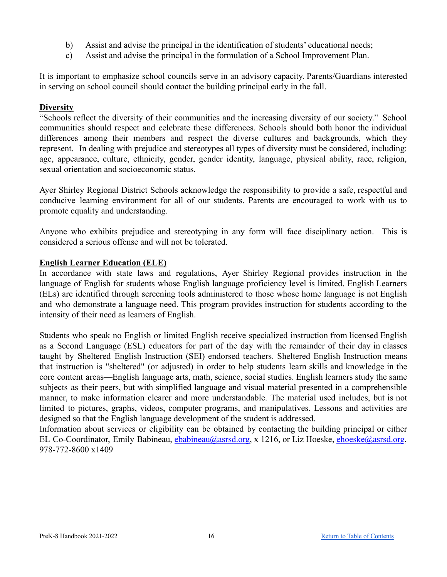- b) Assist and advise the principal in the identification of students' educational needs;
- c) Assist and advise the principal in the formulation of a School Improvement Plan.

It is important to emphasize school councils serve in an advisory capacity. Parents/Guardians interested in serving on school council should contact the building principal early in the fall.

### <span id="page-15-0"></span>**Diversity**

"Schools reflect the diversity of their communities and the increasing diversity of our society." School communities should respect and celebrate these differences. Schools should both honor the individual differences among their members and respect the diverse cultures and backgrounds, which they represent. In dealing with prejudice and stereotypes all types of diversity must be considered, including: age, appearance, culture, ethnicity, gender, gender identity, language, physical ability, race, religion, sexual orientation and socioeconomic status.

Ayer Shirley Regional District Schools acknowledge the responsibility to provide a safe, respectful and conducive learning environment for all of our students. Parents are encouraged to work with us to promote equality and understanding.

Anyone who exhibits prejudice and stereotyping in any form will face disciplinary action. This is considered a serious offense and will not be tolerated.

### <span id="page-15-1"></span>**English Learner Education (ELE)**

In accordance with state laws and regulations, Ayer Shirley Regional provides instruction in the language of English for students whose English language proficiency level is limited. English Learners (ELs) are identified through screening tools administered to those whose home language is not English and who demonstrate a language need. This program provides instruction for students according to the intensity of their need as learners of English.

Students who speak no English or limited English receive specialized instruction from licensed English as a Second Language (ESL) educators for part of the day with the remainder of their day in classes taught by Sheltered English Instruction (SEI) endorsed teachers. Sheltered English Instruction means that instruction is "sheltered" (or adjusted) in order to help students learn skills and knowledge in the core content areas—English language arts, math, science, social studies. English learners study the same subjects as their peers, but with simplified language and visual material presented in a comprehensible manner, to make information clearer and more understandable. The material used includes, but is not limited to pictures, graphs, videos, computer programs, and manipulatives. Lessons and activities are designed so that the English language development of the student is addressed.

Information about services or eligibility can be obtained by contacting the building principal or either EL Co-Coordinator, Emily Babineau, [ebabineau@asrsd.org](mailto:ebabineau@asrsd.org), x 1216, or Liz Hoeske, [ehoeske@asrsd.org](mailto:ehoeske@asrsd.org), 978-772-8600 x1409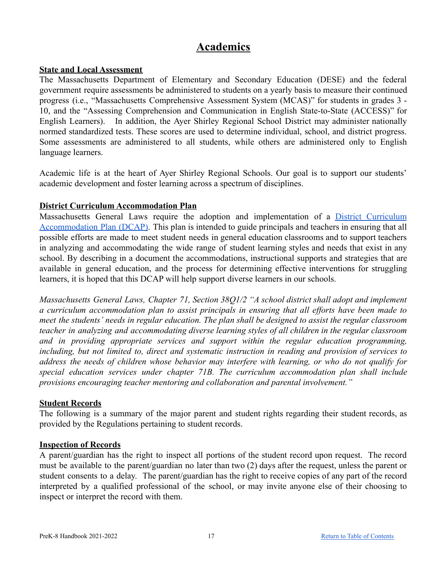### **Academics**

### <span id="page-16-1"></span><span id="page-16-0"></span>**State and Local Assessment**

The Massachusetts Department of Elementary and Secondary Education (DESE) and the federal government require assessments be administered to students on a yearly basis to measure their continued progress (i.e., "Massachusetts Comprehensive Assessment System (MCAS)" for students in grades 3 - 10, and the "Assessing Comprehension and Communication in English State-to-State (ACCESS)" for English Learners). In addition, the Ayer Shirley Regional School District may administer nationally normed standardized tests. These scores are used to determine individual, school, and district progress. Some assessments are administered to all students, while others are administered only to English language learners.

Academic life is at the heart of Ayer Shirley Regional Schools. Our goal is to support our students' academic development and foster learning across a spectrum of disciplines.

### <span id="page-16-2"></span>**District Curriculum Accommodation Plan**

Massachusetts General Laws require the adoption and implementation of a District [Curriculum](https://www.asrsd.org/files/7915/4281/4862/ASRSD_DCAP.pdf) [Accommodation](https://www.asrsd.org/files/7915/4281/4862/ASRSD_DCAP.pdf) Plan (DCAP). This plan is intended to guide principals and teachers in ensuring that all possible efforts are made to meet student needs in general education classrooms and to support teachers in analyzing and accommodating the wide range of student learning styles and needs that exist in any school. By describing in a document the accommodations, instructional supports and strategies that are available in general education, and the process for determining effective interventions for struggling learners, it is hoped that this DCAP will help support diverse learners in our schools.

*Massachusetts General Laws, Chapter 71, Section 38Q1/2 "A school district shall adopt and implement a curriculum accommodation plan to assist principals in ensuring that all efforts have been made to meet the students' needs in regular education. The plan shall be designed to assist the regular classroom teacher in analyzing and accommodating diverse learning styles of all children in the regular classroom and in providing appropriate services and support within the regular education programming, including, but not limited to, direct and systematic instruction in reading and provision of services to address the needs of children whose behavior may interfere with learning, or who do not qualify for special education services under chapter 71B. The curriculum accommodation plan shall include provisions encouraging teacher mentoring and collaboration and parental involvement."*

### <span id="page-16-3"></span>**Student Records**

The following is a summary of the major parent and student rights regarding their student records, as provided by the Regulations pertaining to student records.

### <span id="page-16-4"></span>**Inspection of Records**

A parent/guardian has the right to inspect all portions of the student record upon request. The record must be available to the parent/guardian no later than two (2) days after the request, unless the parent or student consents to a delay. The parent/guardian has the right to receive copies of any part of the record interpreted by a qualified professional of the school, or may invite anyone else of their choosing to inspect or interpret the record with them.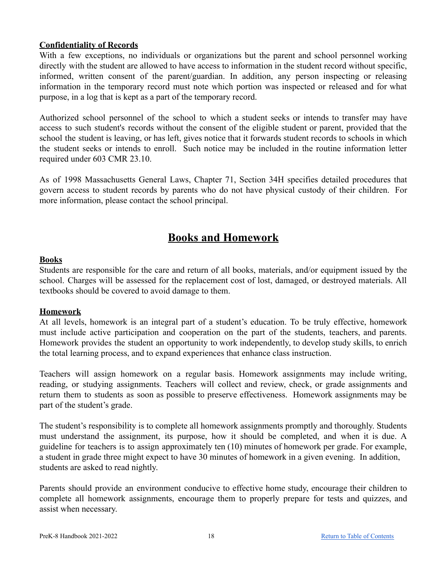### <span id="page-17-0"></span>**Confidentiality of Records**

With a few exceptions, no individuals or organizations but the parent and school personnel working directly with the student are allowed to have access to information in the student record without specific, informed, written consent of the parent/guardian. In addition, any person inspecting or releasing information in the temporary record must note which portion was inspected or released and for what purpose, in a log that is kept as a part of the temporary record.

Authorized school personnel of the school to which a student seeks or intends to transfer may have access to such student's records without the consent of the eligible student or parent, provided that the school the student is leaving, or has left, gives notice that it forwards student records to schools in which the student seeks or intends to enroll. Such notice may be included in the routine information letter required under 603 CMR 23.10.

As of 1998 Massachusetts General Laws, Chapter 71, Section 34H specifies detailed procedures that govern access to student records by parents who do not have physical custody of their children. For more information, please contact the school principal.

### **Books and Homework**

### <span id="page-17-2"></span><span id="page-17-1"></span>**Books**

Students are responsible for the care and return of all books, materials, and/or equipment issued by the school. Charges will be assessed for the replacement cost of lost, damaged, or destroyed materials. All textbooks should be covered to avoid damage to them.

### <span id="page-17-3"></span>**Homework**

At all levels, homework is an integral part of a student's education. To be truly effective, homework must include active participation and cooperation on the part of the students, teachers, and parents. Homework provides the student an opportunity to work independently, to develop study skills, to enrich the total learning process, and to expand experiences that enhance class instruction.

Teachers will assign homework on a regular basis. Homework assignments may include writing, reading, or studying assignments. Teachers will collect and review, check, or grade assignments and return them to students as soon as possible to preserve effectiveness. Homework assignments may be part of the student's grade.

The student's responsibility is to complete all homework assignments promptly and thoroughly. Students must understand the assignment, its purpose, how it should be completed, and when it is due. A guideline for teachers is to assign approximately ten (10) minutes of homework per grade. For example, a student in grade three might expect to have 30 minutes of homework in a given evening. In addition, students are asked to read nightly.

Parents should provide an environment conducive to effective home study, encourage their children to complete all homework assignments, encourage them to properly prepare for tests and quizzes, and assist when necessary.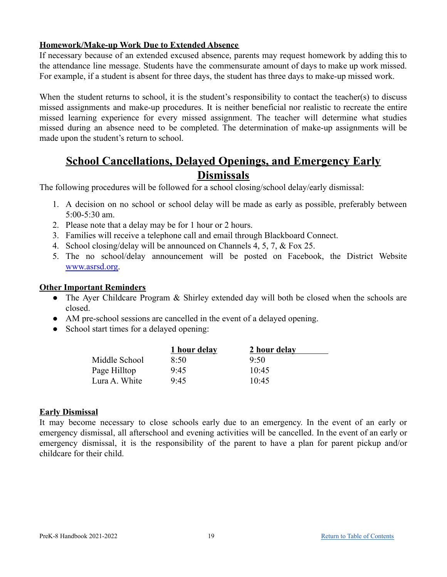### <span id="page-18-0"></span>**Homework/Make-up Work Due to Extended Absence**

If necessary because of an extended excused absence, parents may request homework by adding this to the attendance line message. Students have the commensurate amount of days to make up work missed. For example, if a student is absent for three days, the student has three days to make-up missed work.

When the student returns to school, it is the student's responsibility to contact the teacher(s) to discuss missed assignments and make-up procedures. It is neither beneficial nor realistic to recreate the entire missed learning experience for every missed assignment. The teacher will determine what studies missed during an absence need to be completed. The determination of make-up assignments will be made upon the student's return to school.

### **School Cancellations, Delayed Openings, and Emergency Early Dismissals**

<span id="page-18-1"></span>The following procedures will be followed for a school closing/school delay/early dismissal:

- 1. A decision on no school or school delay will be made as early as possible, preferably between 5:00-5:30 am.
- 2. Please note that a delay may be for 1 hour or 2 hours.
- 3. Families will receive a telephone call and email through Blackboard Connect.
- 4. School closing/delay will be announced on Channels 4, 5, 7, & Fox 25.
- 5. The no school/delay announcement will be posted on Facebook, the District Website [www.asrsd.org.](http://www.asrsd.org)

#### <span id="page-18-2"></span>**Other Important Reminders**

- The Ayer Childcare Program & Shirley extended day will both be closed when the schools are closed.
- AM pre-school sessions are cancelled in the event of a delayed opening.
- School start times for a delayed opening:

|               | 1 hour delay | 2 hour delay |  |
|---------------|--------------|--------------|--|
| Middle School | 8:50         | 9.50         |  |
| Page Hilltop  | 9.45         | 10.45        |  |
| Lura A. White | 9.45         | 10.45        |  |

### <span id="page-18-3"></span>**Early Dismissal**

It may become necessary to close schools early due to an emergency. In the event of an early or emergency dismissal, all afterschool and evening activities will be cancelled. In the event of an early or emergency dismissal, it is the responsibility of the parent to have a plan for parent pickup and/or childcare for their child.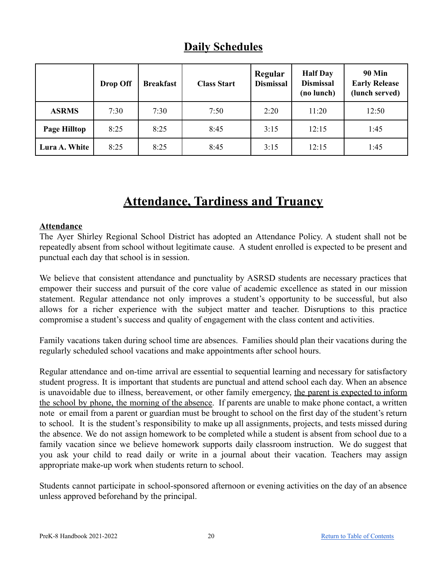<span id="page-19-0"></span>

|               | Drop Off | <b>Breakfast</b> | <b>Class Start</b> | Regular<br><b>Dismissal</b> | <b>Half Day</b><br><b>Dismissal</b><br>(no lunch) | <b>90 Min</b><br><b>Early Release</b><br>(lunch served) |
|---------------|----------|------------------|--------------------|-----------------------------|---------------------------------------------------|---------------------------------------------------------|
| <b>ASRMS</b>  | 7:30     | 7:30             | 7:50               | 2:20                        | 11:20                                             | 12:50                                                   |
| Page Hilltop  | 8:25     | 8:25             | 8:45               | 3:15                        | 12:15                                             | 1:45                                                    |
| Lura A. White | 8:25     | 8:25             | 8:45               | 3:15                        | 12:15                                             | 1:45                                                    |

### **Daily Schedules**

### **Attendance, Tardiness and Truancy**

### <span id="page-19-2"></span><span id="page-19-1"></span>**Attendance**

The Ayer Shirley Regional School District has adopted an Attendance Policy. A student shall not be repeatedly absent from school without legitimate cause. A student enrolled is expected to be present and punctual each day that school is in session.

We believe that consistent attendance and punctuality by ASRSD students are necessary practices that empower their success and pursuit of the core value of academic excellence as stated in our mission statement. Regular attendance not only improves a student's opportunity to be successful, but also allows for a richer experience with the subject matter and teacher. Disruptions to this practice compromise a student's success and quality of engagement with the class content and activities.

Family vacations taken during school time are absences. Families should plan their vacations during the regularly scheduled school vacations and make appointments after school hours.

Regular attendance and on-time arrival are essential to sequential learning and necessary for satisfactory student progress. It is important that students are punctual and attend school each day. When an absence is unavoidable due to illness, bereavement, or other family emergency, the parent is expected to inform the school by phone, the morning of the absence. If parents are unable to make phone contact, a written note or email from a parent or guardian must be brought to school on the first day of the student's return to school. It is the student's responsibility to make up all assignments, projects, and tests missed during the absence. We do not assign homework to be completed while a student is absent from school due to a family vacation since we believe homework supports daily classroom instruction. We do suggest that you ask your child to read daily or write in a journal about their vacation. Teachers may assign appropriate make-up work when students return to school.

Students cannot participate in school-sponsored afternoon or evening activities on the day of an absence unless approved beforehand by the principal.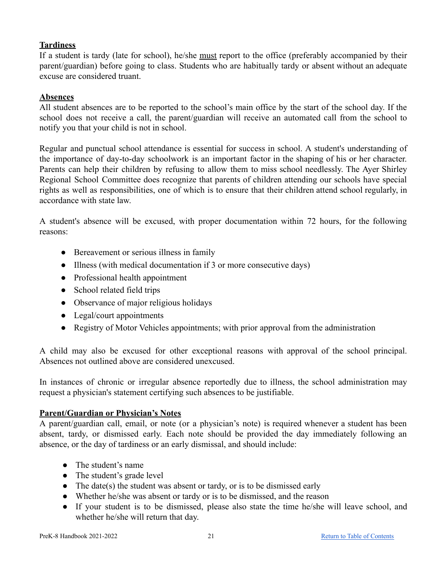### <span id="page-20-0"></span>**Tardiness**

If a student is tardy (late for school), he/she must report to the office (preferably accompanied by their parent/guardian) before going to class. Students who are habitually tardy or absent without an adequate excuse are considered truant.

### <span id="page-20-1"></span>**Absences**

All student absences are to be reported to the school's main office by the start of the school day. If the school does not receive a call, the parent/guardian will receive an automated call from the school to notify you that your child is not in school.

Regular and punctual school attendance is essential for success in school. A student's understanding of the importance of day-to-day schoolwork is an important factor in the shaping of his or her character. Parents can help their children by refusing to allow them to miss school needlessly. The Ayer Shirley Regional School Committee does recognize that parents of children attending our schools have special rights as well as responsibilities, one of which is to ensure that their children attend school regularly, in accordance with state law.

A student's absence will be excused, with proper documentation within 72 hours, for the following reasons:

- Bereavement or serious illness in family
- Illness (with medical documentation if 3 or more consecutive days)
- Professional health appointment
- School related field trips
- Observance of major religious holidays
- Legal/court appointments
- Registry of Motor Vehicles appointments; with prior approval from the administration

A child may also be excused for other exceptional reasons with approval of the school principal. Absences not outlined above are considered unexcused.

In instances of chronic or irregular absence reportedly due to illness, the school administration may request a physician's statement certifying such absences to be justifiable.

### <span id="page-20-2"></span>**Parent/Guardian or Physician's Notes**

A parent/guardian call, email, or note (or a physician's note) is required whenever a student has been absent, tardy, or dismissed early. Each note should be provided the day immediately following an absence, or the day of tardiness or an early dismissal, and should include:

- The student's name
- The student's grade level
- The date(s) the student was absent or tardy, or is to be dismissed early
- Whether he/she was absent or tardy or is to be dismissed, and the reason
- If your student is to be dismissed, please also state the time he/she will leave school, and whether he/she will return that day.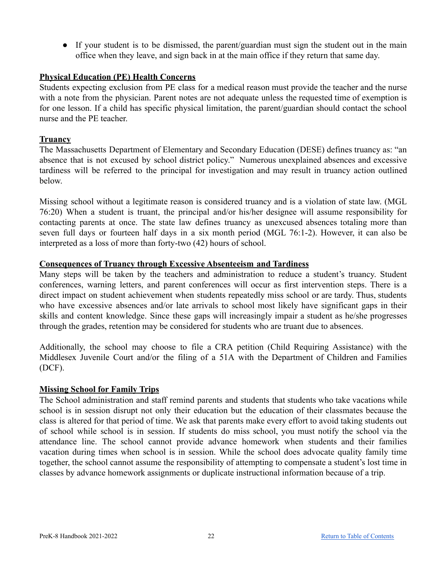• If your student is to be dismissed, the parent/guardian must sign the student out in the main office when they leave, and sign back in at the main office if they return that same day.

### <span id="page-21-0"></span>**Physical Education (PE) Health Concerns**

Students expecting exclusion from PE class for a medical reason must provide the teacher and the nurse with a note from the physician. Parent notes are not adequate unless the requested time of exemption is for one lesson. If a child has specific physical limitation, the parent/guardian should contact the school nurse and the PE teacher.

### <span id="page-21-1"></span>**Truancy**

The Massachusetts Department of Elementary and Secondary Education (DESE) defines truancy as: "an absence that is not excused by school district policy." Numerous unexplained absences and excessive tardiness will be referred to the principal for investigation and may result in truancy action outlined below.

Missing school without a legitimate reason is considered truancy and is a violation of state law. (MGL 76:20) When a student is truant, the principal and/or his/her designee will assume responsibility for contacting parents at once. The state law defines truancy as unexcused absences totaling more than seven full days or fourteen half days in a six month period (MGL 76:1-2). However, it can also be interpreted as a loss of more than forty-two (42) hours of school.

### <span id="page-21-2"></span>**Consequences of Truancy through Excessive Absenteeism and Tardiness**

Many steps will be taken by the teachers and administration to reduce a student's truancy. Student conferences, warning letters, and parent conferences will occur as first intervention steps. There is a direct impact on student achievement when students repeatedly miss school or are tardy. Thus, students who have excessive absences and/or late arrivals to school most likely have significant gaps in their skills and content knowledge. Since these gaps will increasingly impair a student as he/she progresses through the grades, retention may be considered for students who are truant due to absences.

Additionally, the school may choose to file a CRA petition (Child Requiring Assistance) with the Middlesex Juvenile Court and/or the filing of a 51A with the Department of Children and Families (DCF).

### <span id="page-21-3"></span>**Missing School for Family Trips**

The School administration and staff remind parents and students that students who take vacations while school is in session disrupt not only their education but the education of their classmates because the class is altered for that period of time. We ask that parents make every effort to avoid taking students out of school while school is in session. If students do miss school, you must notify the school via the attendance line. The school cannot provide advance homework when students and their families vacation during times when school is in session. While the school does advocate quality family time together, the school cannot assume the responsibility of attempting to compensate a student's lost time in classes by advance homework assignments or duplicate instructional information because of a trip.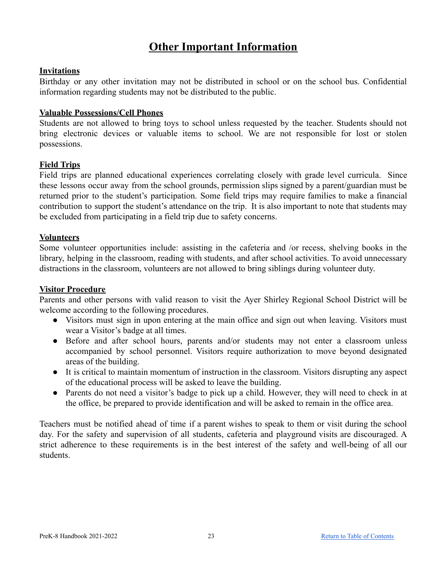### **Other Important Information**

### <span id="page-22-1"></span><span id="page-22-0"></span>**Invitations**

Birthday or any other invitation may not be distributed in school or on the school bus. Confidential information regarding students may not be distributed to the public.

### <span id="page-22-2"></span>**Valuable Possessions/Cell Phones**

Students are not allowed to bring toys to school unless requested by the teacher. Students should not bring electronic devices or valuable items to school. We are not responsible for lost or stolen possessions.

### <span id="page-22-3"></span>**Field Trips**

Field trips are planned educational experiences correlating closely with grade level curricula. Since these lessons occur away from the school grounds, permission slips signed by a parent/guardian must be returned prior to the student's participation. Some field trips may require families to make a financial contribution to support the student's attendance on the trip. It is also important to note that students may be excluded from participating in a field trip due to safety concerns.

### <span id="page-22-4"></span>**Volunteers**

Some volunteer opportunities include: assisting in the cafeteria and /or recess, shelving books in the library, helping in the classroom, reading with students, and after school activities. To avoid unnecessary distractions in the classroom, volunteers are not allowed to bring siblings during volunteer duty.

### <span id="page-22-5"></span>**Visitor Procedure**

Parents and other persons with valid reason to visit the Ayer Shirley Regional School District will be welcome according to the following procedures.

- Visitors must sign in upon entering at the main office and sign out when leaving. Visitors must wear a Visitor's badge at all times.
- Before and after school hours, parents and/or students may not enter a classroom unless accompanied by school personnel. Visitors require authorization to move beyond designated areas of the building.
- It is critical to maintain momentum of instruction in the classroom. Visitors disrupting any aspect of the educational process will be asked to leave the building.
- Parents do not need a visitor's badge to pick up a child. However, they will need to check in at the office, be prepared to provide identification and will be asked to remain in the office area.

Teachers must be notified ahead of time if a parent wishes to speak to them or visit during the school day. For the safety and supervision of all students, cafeteria and playground visits are discouraged. A strict adherence to these requirements is in the best interest of the safety and well-being of all our students.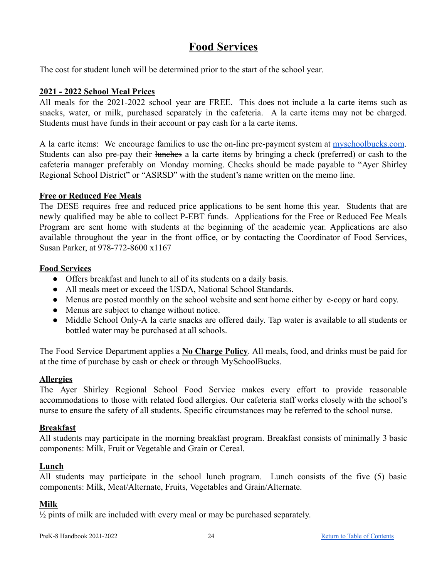### **Food Services**

<span id="page-23-0"></span>The cost for student lunch will be determined prior to the start of the school year.

### <span id="page-23-1"></span>**2021 - 2022 School Meal Prices**

All meals for the 2021-2022 school year are FREE. This does not include a la carte items such as snacks, water, or milk, purchased separately in the cafeteria. A la carte items may not be charged. Students must have funds in their account or pay cash for a la carte items.

A la carte items: We encourage families to use the on-line pre-payment system at [myschoolbucks.com](https://www.myschoolbucks.com/). Students can also pre-pay their <del>lunches</del> a la carte items by bringing a check (preferred) or cash to the cafeteria manager preferably on Monday morning. Checks should be made payable to "Ayer Shirley Regional School District" or "ASRSD" with the student's name written on the memo line.

### <span id="page-23-2"></span>**Free or Reduced Fee Meals**

The DESE requires free and reduced price applications to be sent home this year. Students that are newly qualified may be able to collect P-EBT funds. Applications for the Free or Reduced Fee Meals Program are sent home with students at the beginning of the academic year. Applications are also available throughout the year in the front office, or by contacting the Coordinator of Food Services, Susan Parker, at 978-772-8600 x1167

### <span id="page-23-3"></span>**Food Services**

- Offers breakfast and lunch to all of its students on a daily basis.
- All meals meet or exceed the USDA, National School Standards.
- Menus are posted monthly on the school website and sent home either by e-copy or hard copy.
- Menus are subject to change without notice.
- Middle School Only-A la carte snacks are offered daily. Tap water is available to all students or bottled water may be purchased at all schools.

The Food Service Department applies a **No Charge Policy**. All meals, food, and drinks must be paid for at the time of purchase by cash or check or through MySchoolBucks.

### <span id="page-23-4"></span>**Allergies**

The Ayer Shirley Regional School Food Service makes every effort to provide reasonable accommodations to those with related food allergies. Our cafeteria staff works closely with the school's nurse to ensure the safety of all students. Specific circumstances may be referred to the school nurse.

### <span id="page-23-5"></span>**Breakfast**

All students may participate in the morning breakfast program. Breakfast consists of minimally 3 basic components: Milk, Fruit or Vegetable and Grain or Cereal.

### <span id="page-23-6"></span>**Lunch**

All students may participate in the school lunch program. Lunch consists of the five (5) basic components: Milk, Meat/Alternate, Fruits, Vegetables and Grain/Alternate.

### <span id="page-23-7"></span>**Milk**

 $\frac{1}{2}$  pints of milk are included with every meal or may be purchased separately.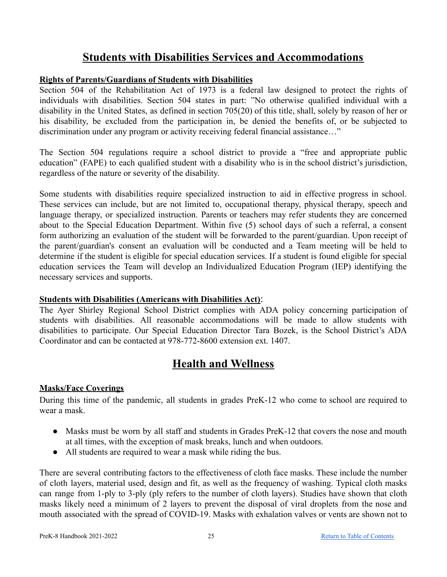### **Students with Disabilities Services and Accommodations**

### <span id="page-24-1"></span><span id="page-24-0"></span>**Rights of Parents/Guardians of Students with Disabilities**

Section 504 of the Rehabilitation Act of 1973 is a federal law designed to protect the rights of individuals with disabilities. Section 504 states in part: "No otherwise qualified individual with a disability in the United States, as defined in section 705(20) of this title, shall, solely by reason of her or his disability, be excluded from the participation in, be denied the benefits of, or be subjected to discrimination under any program or activity receiving federal financial assistance…"

The Section 504 regulations require a school district to provide a "free and appropriate public education" (FAPE) to each qualified student with a disability who is in the school district's jurisdiction, regardless of the nature or severity of the disability.

Some students with disabilities require specialized instruction to aid in effective progress in school. These services can include, but are not limited to, occupational therapy, physical therapy, speech and language therapy, or specialized instruction. Parents or teachers may refer students they are concerned about to the Special Education Department. Within five (5) school days of such a referral, a consent form authorizing an evaluation of the student will be forwarded to the parent/guardian. Upon receipt of the parent/guardian's consent an evaluation will be conducted and a Team meeting will be held to determine if the student is eligible for special education services. If a student is found eligible for special education services the Team will develop an Individualized Education Program (IEP) identifying the necessary services and supports.

### <span id="page-24-2"></span>**Students with Disabilities (Americans with Disabilities Act)**:

The Ayer Shirley Regional School District complies with ADA policy concerning participation of students with disabilities. All reasonable accommodations will be made to allow students with disabilities to participate. Our Special Education Director Tara Bozek, is the School District's ADA Coordinator and can be contacted at 978-772-8600 extension ext. 1407.

### **Health and Wellness**

### <span id="page-24-4"></span><span id="page-24-3"></span>**Masks/Face Coverings**

During this time of the pandemic, all students in grades PreK-12 who come to school are required to wear a mask.

- Masks must be worn by all staff and students in Grades PreK-12 that covers the nose and mouth at all times, with the exception of mask breaks, lunch and when outdoors.
- All students are required to wear a mask while riding the bus.

There are several contributing factors to the effectiveness of cloth face masks. These include the number of cloth layers, material used, design and fit, as well as the frequency of washing. Typical cloth masks can range from 1-ply to 3-ply (ply refers to the number of cloth layers). Studies have shown that cloth masks likely need a minimum of 2 layers to prevent the disposal of viral droplets from the nose and mouth associated with the spread of COVID-19. Masks with exhalation valves or vents are shown not to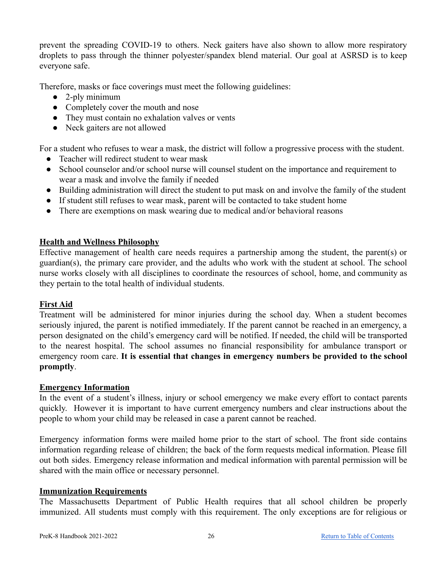prevent the spreading COVID-19 to others. Neck gaiters have also shown to allow more respiratory droplets to pass through the thinner polyester/spandex blend material. Our goal at ASRSD is to keep everyone safe.

Therefore, masks or face coverings must meet the following guidelines:

- $\bullet$  2-ply minimum
- Completely cover the mouth and nose
- They must contain no exhalation valves or vents
- Neck gaiters are not allowed

For a student who refuses to wear a mask, the district will follow a progressive process with the student.

- Teacher will redirect student to wear mask
- School counselor and/or school nurse will counsel student on the importance and requirement to wear a mask and involve the family if needed
- Building administration will direct the student to put mask on and involve the family of the student
- If student still refuses to wear mask, parent will be contacted to take student home
- There are exemptions on mask wearing due to medical and/or behavioral reasons

### <span id="page-25-0"></span>**Health and Wellness Philosophy**

Effective management of health care needs requires a partnership among the student, the parent(s) or guardian(s), the primary care provider, and the adults who work with the student at school. The school nurse works closely with all disciplines to coordinate the resources of school, home, and community as they pertain to the total health of individual students.

### <span id="page-25-1"></span>**First Aid**

Treatment will be administered for minor injuries during the school day. When a student becomes seriously injured, the parent is notified immediately. If the parent cannot be reached in an emergency, a person designated on the child's emergency card will be notified. If needed, the child will be transported to the nearest hospital. The school assumes no financial responsibility for ambulance transport or emergency room care. **It is essential that changes in emergency numbers be provided to the school promptly**.

### <span id="page-25-2"></span>**Emergency Information**

In the event of a student's illness, injury or school emergency we make every effort to contact parents quickly. However it is important to have current emergency numbers and clear instructions about the people to whom your child may be released in case a parent cannot be reached.

Emergency information forms were mailed home prior to the start of school. The front side contains information regarding release of children; the back of the form requests medical information. Please fill out both sides. Emergency release information and medical information with parental permission will be shared with the main office or necessary personnel.

### <span id="page-25-3"></span>**Immunization Requirements**

The Massachusetts Department of Public Health requires that all school children be properly immunized. All students must comply with this requirement. The only exceptions are for religious or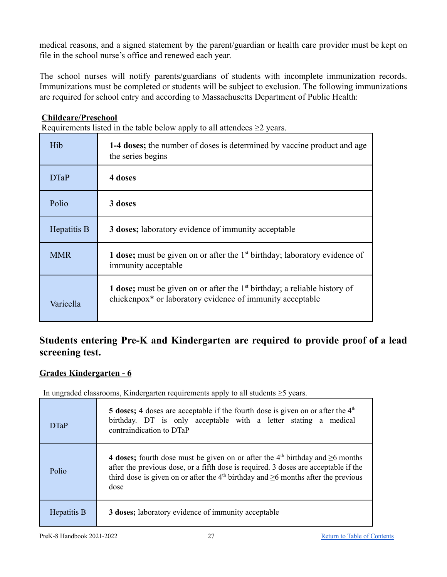medical reasons, and a signed statement by the parent/guardian or health care provider must be kept on file in the school nurse's office and renewed each year.

The school nurses will notify parents/guardians of students with incomplete immunization records. Immunizations must be completed or students will be subject to exclusion. The following immunizations are required for school entry and according to Massachusetts Department of Public Health:

### <span id="page-26-0"></span>**Childcare/Preschool**

Requirements listed in the table below apply to all attendees  $\geq$ 2 years.

| Hib         | 1-4 doses; the number of doses is determined by vaccine product and age<br>the series begins                                                         |
|-------------|------------------------------------------------------------------------------------------------------------------------------------------------------|
| <b>DTaP</b> | 4 doses                                                                                                                                              |
| Polio       | 3 doses                                                                                                                                              |
| Hepatitis B | 3 doses; laboratory evidence of immunity acceptable                                                                                                  |
| <b>MMR</b>  | <b>1 dose;</b> must be given on or after the $1st$ birthday; laboratory evidence of<br>immunity acceptable                                           |
| Varicella   | 1 dose; must be given on or after the $1st$ birthday; a reliable history of<br>chickenpox <sup>*</sup> or laboratory evidence of immunity acceptable |

### **Students entering Pre-K and Kindergarten are required to provide proof of a lead screening test.**

### <span id="page-26-1"></span>**Grades Kindergarten - 6**

In ungraded classrooms, Kindergarten requirements apply to all students ≥5 years.

| <b>DTaP</b> | 5 doses; 4 doses are acceptable if the fourth dose is given on or after the $4th$<br>birthday. DT is only acceptable with a letter stating a medical<br>contraindication to DTaP                                                                                                            |  |
|-------------|---------------------------------------------------------------------------------------------------------------------------------------------------------------------------------------------------------------------------------------------------------------------------------------------|--|
| Polio       | 4 doses; fourth dose must be given on or after the $4th$ birthday and $\geq 6$ months<br>after the previous dose, or a fifth dose is required. 3 doses are acceptable if the<br>third dose is given on or after the 4 <sup>th</sup> birthday and $\geq 6$ months after the previous<br>dose |  |
| Hepatitis B | 3 doses; laboratory evidence of immunity acceptable                                                                                                                                                                                                                                         |  |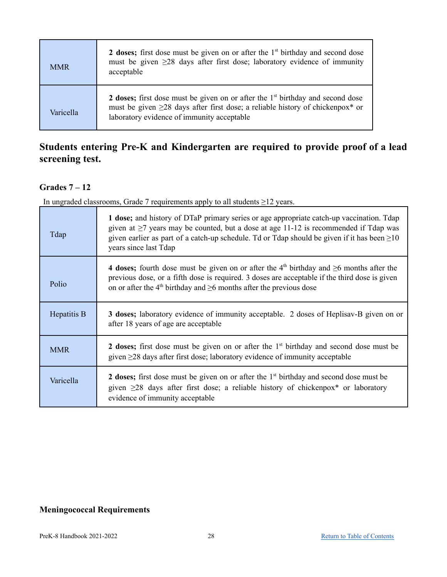| <b>MMR</b> | 2 doses; first dose must be given on or after the $1st$ birthday and second dose<br>must be given $\geq$ 28 days after first dose; laboratory evidence of immunity<br>acceptable                                                  |
|------------|-----------------------------------------------------------------------------------------------------------------------------------------------------------------------------------------------------------------------------------|
| Varicella  | 2 doses; first dose must be given on or after the $1st$ birthday and second dose<br>must be given $\geq$ 28 days after first dose; a reliable history of chickenpox <sup>*</sup> or<br>laboratory evidence of immunity acceptable |

### **Students entering Pre-K and Kindergarten are required to provide proof of a lead screening test.**

### <span id="page-27-0"></span>**Grades 7 – 12**

In ungraded classrooms, Grade 7 requirements apply to all students ≥12 years.

| Tdap        | 1 dose; and history of DTaP primary series or age appropriate catch-up vaccination. Tdap<br>given at $\geq$ 7 years may be counted, but a dose at age 11-12 is recommended if Tdap was<br>given earlier as part of a catch-up schedule. Td or Tdap should be given if it has been $\geq 10$<br>years since last Tdap |
|-------------|----------------------------------------------------------------------------------------------------------------------------------------------------------------------------------------------------------------------------------------------------------------------------------------------------------------------|
| Polio       | 4 doses; fourth dose must be given on or after the 4 <sup>th</sup> birthday and $\geq$ 6 months after the<br>previous dose, or a fifth dose is required. 3 doses are acceptable if the third dose is given<br>on or after the 4 <sup>th</sup> birthday and $\geq 6$ months after the previous dose                   |
| Hepatitis B | <b>3 doses;</b> laboratory evidence of immunity acceptable. 2 doses of Heplisav-B given on or<br>after 18 years of age are acceptable                                                                                                                                                                                |
| <b>MMR</b>  | 2 doses; first dose must be given on or after the $1st$ birthday and second dose must be<br>given $\geq$ 28 days after first dose; laboratory evidence of immunity acceptable                                                                                                                                        |
| Varicella   | <b>2 doses;</b> first dose must be given on or after the 1 <sup>st</sup> birthday and second dose must be<br>given $\geq$ 28 days after first dose; a reliable history of chickenpox <sup>*</sup> or laboratory<br>evidence of immunity acceptable                                                                   |

### <span id="page-27-1"></span>**Meningococcal Requirements**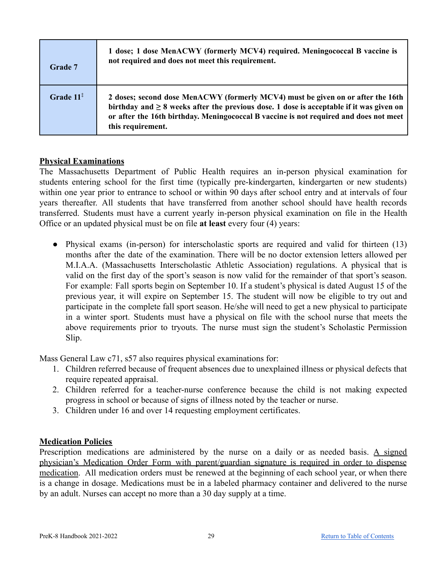| Grade 7      | 1 dose; 1 dose MenACWY (formerly MCV4) required. Meningococcal B vaccine is<br>not required and does not meet this requirement.                                                                                                                                                               |
|--------------|-----------------------------------------------------------------------------------------------------------------------------------------------------------------------------------------------------------------------------------------------------------------------------------------------|
| Grade $11^*$ | 2 doses; second dose MenACWY (formerly MCV4) must be given on or after the 16th<br>birthday and $\geq 8$ weeks after the previous dose. 1 dose is acceptable if it was given on<br>or after the 16th birthday. Meningococcal B vaccine is not required and does not meet<br>this requirement. |

### <span id="page-28-0"></span>**Physical Examinations**

The Massachusetts Department of Public Health requires an in-person physical examination for students entering school for the first time (typically pre-kindergarten, kindergarten or new students) within one year prior to entrance to school or within 90 days after school entry and at intervals of four years thereafter. All students that have transferred from another school should have health records transferred. Students must have a current yearly in-person physical examination on file in the Health Office or an updated physical must be on file **at least** every four (4) years:

• Physical exams (in-person) for interscholastic sports are required and valid for thirteen (13) months after the date of the examination. There will be no doctor extension letters allowed per M.I.A.A. (Massachusetts Interscholastic Athletic Association) regulations. A physical that is valid on the first day of the sport's season is now valid for the remainder of that sport's season. For example: Fall sports begin on September 10. If a student's physical is dated August 15 of the previous year, it will expire on September 15. The student will now be eligible to try out and participate in the complete fall sport season. He/she will need to get a new physical to participate in a winter sport. Students must have a physical on file with the school nurse that meets the above requirements prior to tryouts. The nurse must sign the student's Scholastic Permission Slip.

Mass General Law c71, s57 also requires physical examinations for:

- 1. Children referred because of frequent absences due to unexplained illness or physical defects that require repeated appraisal.
- 2. Children referred for a teacher-nurse conference because the child is not making expected progress in school or because of signs of illness noted by the teacher or nurse.
- 3. Children under 16 and over 14 requesting employment certificates.

### <span id="page-28-1"></span>**Medication Policies**

Prescription medications are administered by the nurse on a daily or as needed basis. A signed physician's Medication Order Form with parent/guardian signature is required in order to dispense medication. All medication orders must be renewed at the beginning of each school year, or when there is a change in dosage. Medications must be in a labeled pharmacy container and delivered to the nurse by an adult. Nurses can accept no more than a 30 day supply at a time.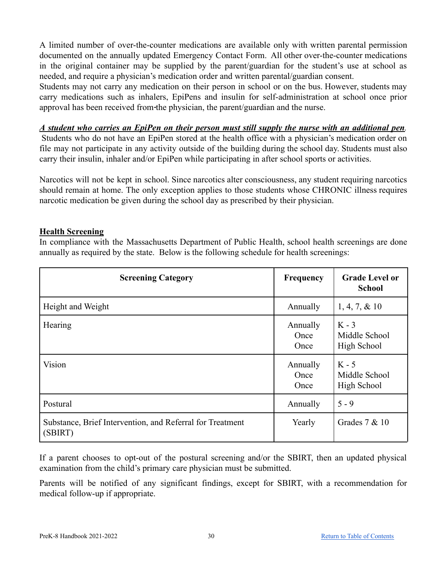A limited number of over-the-counter medications are available only with written parental permission documented on the annually updated Emergency Contact Form. All other over-the-counter medications in the original container may be supplied by the parent/guardian for the student's use at school as needed, and require a physician's medication order and written parental/guardian consent.

Students may not carry any medication on their person in school or on the bus. However, students may carry medications such as inhalers, EpiPens and insulin for self-administration at school once prior approval has been received from the physician, the parent/guardian and the nurse.

### A student who carries an EpiPen on their person must still supply the nurse with an additional pen.

Students who do not have an EpiPen stored at the health office with a physician's medication order on file may not participate in any activity outside of the building during the school day. Students must also carry their insulin, inhaler and/or EpiPen while participating in after school sports or activities.

Narcotics will not be kept in school. Since narcotics alter consciousness, any student requiring narcotics should remain at home. The only exception applies to those students whose CHRONIC illness requires narcotic medication be given during the school day as prescribed by their physician.

### <span id="page-29-0"></span>**Health Screening**

In compliance with the Massachusetts Department of Public Health, school health screenings are done annually as required by the state. Below is the following schedule for health screenings:

| <b>Screening Category</b>                                            | <b>Frequency</b>                | <b>Grade Level or</b><br><b>School</b>  |
|----------------------------------------------------------------------|---------------------------------|-----------------------------------------|
| Height and Weight                                                    | Annually                        | $1, 4, 7, \& 10$                        |
| Hearing                                                              | Annually<br>Once<br>Once        | $K - 3$<br>Middle School<br>High School |
| <b>Vision</b>                                                        | Annually<br>Once<br><b>Once</b> | $K - 5$<br>Middle School<br>High School |
| Postural                                                             | Annually                        | $5 - 9$                                 |
| Substance, Brief Intervention, and Referral for Treatment<br>(SBIRT) | Yearly                          | Grades $7 & 10$                         |

If a parent chooses to opt-out of the postural screening and/or the SBIRT, then an updated physical examination from the child's primary care physician must be submitted.

Parents will be notified of any significant findings, except for SBIRT, with a recommendation for medical follow-up if appropriate.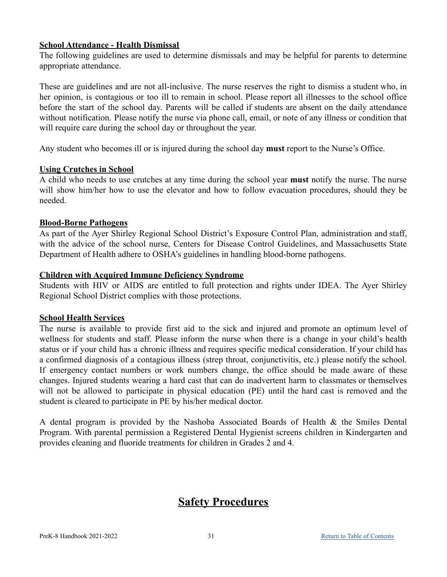### <span id="page-30-0"></span>**School Attendance - Health Dismissal**

The following guidelines are used to determine dismissals and may be helpful for parents to determine appropriate attendance.

These are guidelines and are not all-inclusive. The nurse reserves the right to dismiss a student who, in her opinion, is contagious or too ill to remain in school. Please report all illnesses to the school office before the start of the school day. Parents will be called if students are absent on the daily attendance without notification. Please notify the nurse via phone call, email, or note of any illness or condition that will require care during the school day or throughout the year.

Any student who becomes ill or is injured during the school day **must** report to the Nurse's Office.

### <span id="page-30-1"></span>**Using Crutches in School**

A child who needs to use crutches at any time during the school year **must** notify the nurse. The nurse will show him/her how to use the elevator and how to follow evacuation procedures, should they be needed.

### <span id="page-30-2"></span>**Blood-Borne Pathogens**

As part of the Ayer Shirley Regional School District's Exposure Control Plan, administration and staff, with the advice of the school nurse, Centers for Disease Control Guidelines, and Massachusetts State Department of Health adhere to OSHA's guidelines in handling blood-borne pathogens.

### <span id="page-30-3"></span>**Children with Acquired Immune Deficiency Syndrome**

Students with HIV or AIDS are entitled to full protection and rights under IDEA. The Ayer Shirley Regional School District complies with those protections.

### <span id="page-30-4"></span>**School Health Services**

The nurse is available to provide first aid to the sick and injured and promote an optimum level of wellness for students and staff. Please inform the nurse when there is a change in your child's health status or if your child has a chronic illness and requires specific medical consideration. If your child has a confirmed diagnosis of a contagious illness (strep throat, conjunctivitis, etc.) please notify the school. If emergency contact numbers or work numbers change, the office should be made aware of these changes. Injured students wearing a hard cast that can do inadvertent harm to classmates or themselves will not be allowed to participate in physical education (PE) until the hard cast is removed and the student is cleared to participate in PE by his/her medical doctor.

<span id="page-30-5"></span>A dental program is provided by the Nashoba Associated Boards of Health & the Smiles Dental Program. With parental permission a Registered Dental Hygienist screens children in Kindergarten and provides cleaning and fluoride treatments for children in Grades 2 and 4.

### **Safety Procedures**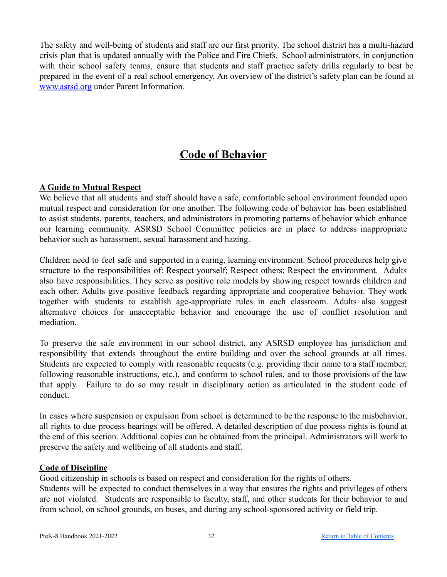The safety and well-being of students and staff are our first priority. The school district has a multi-hazard crisis plan that is updated annually with the Police and Fire Chiefs. School administrators, in conjunction with their school safety teams, ensure that students and staff practice safety drills regularly to best be prepared in the event of a real school emergency. An overview of the district's safety plan can be found at [www.asrsd.](http://www.asrrsd)org under Parent Information.

### **Code of Behavior**

### <span id="page-31-1"></span><span id="page-31-0"></span>**A Guide to Mutual Respect**

We believe that all students and staff should have a safe, comfortable school environment founded upon mutual respect and consideration for one another. The following code of behavior has been established to assist students, parents, teachers, and administrators in promoting patterns of behavior which enhance our learning community. ASRSD School Committee policies are in place to address inappropriate behavior such as harassment, sexual harassment and hazing.

Children need to feel safe and supported in a caring, learning environment. School procedures help give structure to the responsibilities of: Respect yourself; Respect others; Respect the environment. Adults also have responsibilities. They serve as positive role models by showing respect towards children and each other. Adults give positive feedback regarding appropriate and cooperative behavior. They work together with students to establish age-appropriate rules in each classroom. Adults also suggest alternative choices for unacceptable behavior and encourage the use of conflict resolution and mediation.

To preserve the safe environment in our school district, any ASRSD employee has jurisdiction and responsibility that extends throughout the entire building and over the school grounds at all times. Students are expected to comply with reasonable requests (e.g. providing their name to a staff member, following reasonable instructions, etc.), and conform to school rules, and to those provisions of the law that apply. Failure to do so may result in disciplinary action as articulated in the student code of conduct.

In cases where suspension or expulsion from school is determined to be the response to the misbehavior, all rights to due process hearings will be offered. A detailed description of due process rights is found at the end of this section. Additional copies can be obtained from the principal. Administrators will work to preserve the safety and wellbeing of all students and staff.

### <span id="page-31-2"></span>**Code of Discipline**

Good citizenship in schools is based on respect and consideration for the rights of others.

Students will be expected to conduct themselves in a way that ensures the rights and privileges of others are not violated. Students are responsible to faculty, staff, and other students for their behavior to and from school, on school grounds, on buses, and during any school-sponsored activity or field trip.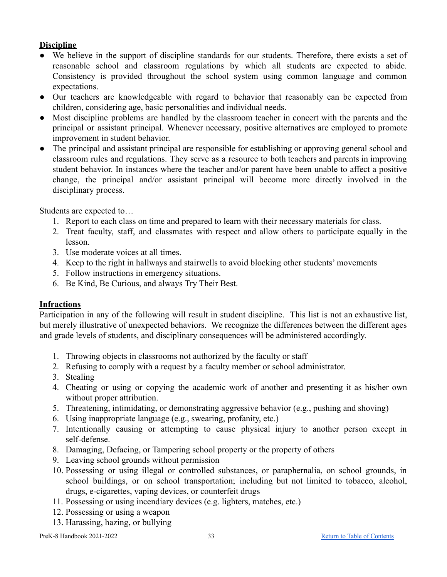### <span id="page-32-0"></span>**Discipline**

- We believe in the support of discipline standards for our students. Therefore, there exists a set of reasonable school and classroom regulations by which all students are expected to abide. Consistency is provided throughout the school system using common language and common expectations.
- Our teachers are knowledgeable with regard to behavior that reasonably can be expected from children, considering age, basic personalities and individual needs.
- Most discipline problems are handled by the classroom teacher in concert with the parents and the principal or assistant principal. Whenever necessary, positive alternatives are employed to promote improvement in student behavior.
- The principal and assistant principal are responsible for establishing or approving general school and classroom rules and regulations. They serve as a resource to both teachers and parents in improving student behavior. In instances where the teacher and/or parent have been unable to affect a positive change, the principal and/or assistant principal will become more directly involved in the disciplinary process.

Students are expected to…

- 1. Report to each class on time and prepared to learn with their necessary materials for class.
- 2. Treat faculty, staff, and classmates with respect and allow others to participate equally in the lesson.
- 3. Use moderate voices at all times.
- 4. Keep to the right in hallways and stairwells to avoid blocking other students' movements
- 5. Follow instructions in emergency situations.
- 6. Be Kind, Be Curious, and always Try Their Best.

### <span id="page-32-1"></span>**Infractions**

Participation in any of the following will result in student discipline. This list is not an exhaustive list, but merely illustrative of unexpected behaviors. We recognize the differences between the different ages and grade levels of students, and disciplinary consequences will be administered accordingly.

- 1. Throwing objects in classrooms not authorized by the faculty or staff
- 2. Refusing to comply with a request by a faculty member or school administrator.
- 3. Stealing
- 4. Cheating or using or copying the academic work of another and presenting it as his/her own without proper attribution.
- 5. Threatening, intimidating, or demonstrating aggressive behavior (e.g., pushing and shoving)
- 6. Using inappropriate language (e.g., swearing, profanity, etc.)
- 7. Intentionally causing or attempting to cause physical injury to another person except in self-defense.
- 8. Damaging, Defacing, or Tampering school property or the property of others
- 9. Leaving school grounds without permission
- 10. Possessing or using illegal or controlled substances, or paraphernalia, on school grounds, in school buildings, or on school transportation; including but not limited to tobacco, alcohol, drugs, e-cigarettes, vaping devices, or counterfeit drugs
- 11. Possessing or using incendiary devices (e.g. lighters, matches, etc.)
- 12. Possessing or using a weapon
- 13. Harassing, hazing, or bullying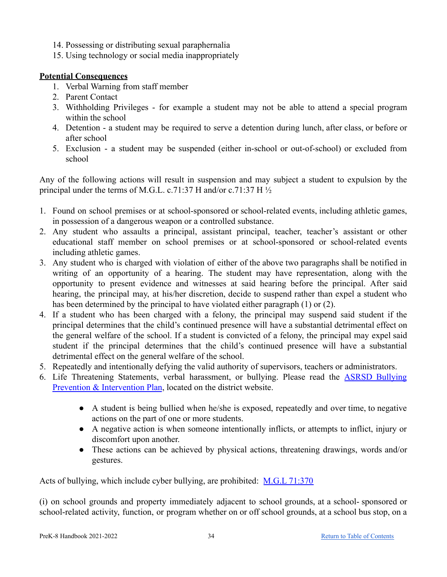- 14. Possessing or distributing sexual paraphernalia
- 15. Using technology or social media inappropriately

### <span id="page-33-0"></span>**Potential Consequences**

- 1. Verbal Warning from staff member
- 2. Parent Contact
- 3. Withholding Privileges for example a student may not be able to attend a special program within the school
- 4. Detention a student may be required to serve a detention during lunch, after class, or before or after school
- 5. Exclusion a student may be suspended (either in-school or out-of-school) or excluded from school

Any of the following actions will result in suspension and may subject a student to expulsion by the principal under the terms of M.G.L. c.71:37 H and/or c.71:37 H  $\frac{1}{2}$ 

- 1. Found on school premises or at school-sponsored or school-related events, including athletic games, in possession of a dangerous weapon or a controlled substance.
- 2. Any student who assaults a principal, assistant principal, teacher, teacher's assistant or other educational staff member on school premises or at school-sponsored or school-related events including athletic games.
- 3. Any student who is charged with violation of either of the above two paragraphs shall be notified in writing of an opportunity of a hearing. The student may have representation, along with the opportunity to present evidence and witnesses at said hearing before the principal. After said hearing, the principal may, at his/her discretion, decide to suspend rather than expel a student who has been determined by the principal to have violated either paragraph (1) or (2).
- 4. If a student who has been charged with a felony, the principal may suspend said student if the principal determines that the child's continued presence will have a substantial detrimental effect on the general welfare of the school. If a student is convicted of a felony, the principal may expel said student if the principal determines that the child's continued presence will have a substantial detrimental effect on the general welfare of the school.
- 5. Repeatedly and intentionally defying the valid authority of supervisors, teachers or administrators.
- 6. Life Threatening Statements, verbal harassment, or bullying. Please read the ASRSD [Bullying](https://docs.google.com/document/d/13zPUzW1e7Drh6X47pIPOPHIYSX9cfpk243zf4H60yjc/edit) [Prevention & Intervention Plan](https://docs.google.com/document/d/13zPUzW1e7Drh6X47pIPOPHIYSX9cfpk243zf4H60yjc/edit), located on the district website.
	- A student is being bullied when he/she is exposed, repeatedly and over time, to negative actions on the part of one or more students.
	- A negative action is when someone intentionally inflicts, or attempts to inflict, injury or discomfort upon another.
	- These actions can be achieved by physical actions, threatening drawings, words and/or gestures.

Acts of bullying, which include cyber bullying, are prohibited: [M.G.L 71:370](https://malegislature.gov/Laws/GeneralLaws/PartI/TitleXII/Chapter71/Section37O)

(i) on school grounds and property immediately adjacent to school grounds, at a school- sponsored or school-related activity, function, or program whether on or off school grounds, at a school bus stop, on a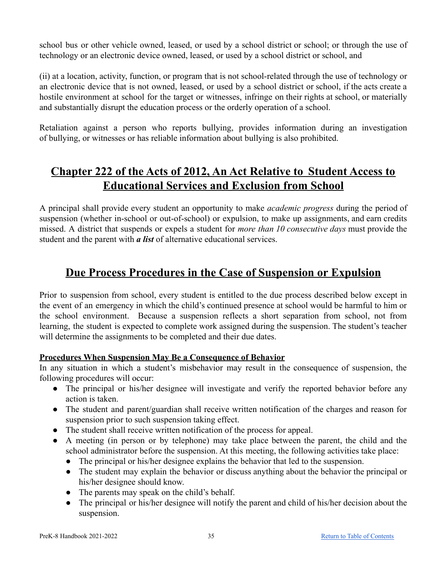school bus or other vehicle owned, leased, or used by a school district or school; or through the use of technology or an electronic device owned, leased, or used by a school district or school, and

(ii) at a location, activity, function, or program that is not school-related through the use of technology or an electronic device that is not owned, leased, or used by a school district or school, if the acts create a hostile environment at school for the target or witnesses, infringe on their rights at school, or materially and substantially disrupt the education process or the orderly operation of a school.

Retaliation against a person who reports bullying, provides information during an investigation of bullying, or witnesses or has reliable information about bullying is also prohibited.

### <span id="page-34-0"></span>**Chapter 222 of the Acts of 2012, An Act Relative to Student Access to Educational Services and Exclusion from School**

A principal shall provide every student an opportunity to make *academic progress* during the period of suspension (whether in-school or out-of-school) or expulsion, to make up assignments, and earn credits missed. A district that suspends or expels a student for *more than 10 consecutive days* must provide the student and the parent with *a list* of alternative educational services.

### **Due Process Procedures in the Case of Suspension or Expulsion**

<span id="page-34-1"></span>Prior to suspension from school, every student is entitled to the due process described below except in the event of an emergency in which the child's continued presence at school would be harmful to him or the school environment. Because a suspension reflects a short separation from school, not from learning, the student is expected to complete work assigned during the suspension. The student's teacher will determine the assignments to be completed and their due dates.

### <span id="page-34-2"></span>**Procedures When Suspension May Be a Consequence of Behavior**

In any situation in which a student's misbehavior may result in the consequence of suspension, the following procedures will occur:

- The principal or his/her designee will investigate and verify the reported behavior before any action is taken.
- The student and parent/guardian shall receive written notification of the charges and reason for suspension prior to such suspension taking effect.
- The student shall receive written notification of the process for appeal.
- A meeting (in person or by telephone) may take place between the parent, the child and the school administrator before the suspension. At this meeting, the following activities take place:
	- The principal or his/her designee explains the behavior that led to the suspension.
	- The student may explain the behavior or discuss anything about the behavior the principal or his/her designee should know.
	- The parents may speak on the child's behalf.
	- The principal or his/her designee will notify the parent and child of his/her decision about the suspension.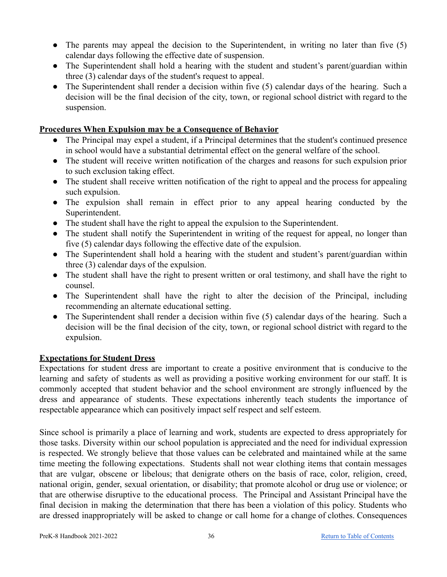- The parents may appeal the decision to the Superintendent, in writing no later than five (5) calendar days following the effective date of suspension.
- The Superintendent shall hold a hearing with the student and student's parent/guardian within three (3) calendar days of the student's request to appeal.
- The Superintendent shall render a decision within five (5) calendar days of the hearing. Such a decision will be the final decision of the city, town, or regional school district with regard to the suspension.

### <span id="page-35-0"></span>**Procedures When Expulsion may be a Consequence of Behavior**

- The Principal may expel a student, if a Principal determines that the student's continued presence in school would have a substantial detrimental effect on the general welfare of the school.
- The student will receive written notification of the charges and reasons for such expulsion prior to such exclusion taking effect.
- The student shall receive written notification of the right to appeal and the process for appealing such expulsion.
- The expulsion shall remain in effect prior to any appeal hearing conducted by the Superintendent.
- The student shall have the right to appeal the expulsion to the Superintendent.
- The student shall notify the Superintendent in writing of the request for appeal, no longer than five (5) calendar days following the effective date of the expulsion.
- The Superintendent shall hold a hearing with the student and student's parent/guardian within three (3) calendar days of the expulsion.
- The student shall have the right to present written or oral testimony, and shall have the right to counsel.
- The Superintendent shall have the right to alter the decision of the Principal, including recommending an alternate educational setting.
- The Superintendent shall render a decision within five (5) calendar days of the hearing. Such a decision will be the final decision of the city, town, or regional school district with regard to the expulsion.

### <span id="page-35-1"></span>**Expectations for Student Dress**

Expectations for student dress are important to create a positive environment that is conducive to the learning and safety of students as well as providing a positive working environment for our staff. It is commonly accepted that student behavior and the school environment are strongly influenced by the dress and appearance of students. These expectations inherently teach students the importance of respectable appearance which can positively impact self respect and self esteem.

Since school is primarily a place of learning and work, students are expected to dress appropriately for those tasks. Diversity within our school population is appreciated and the need for individual expression is respected. We strongly believe that those values can be celebrated and maintained while at the same time meeting the following expectations. Students shall not wear clothing items that contain messages that are vulgar, obscene or libelous; that denigrate others on the basis of race, color, religion, creed, national origin, gender, sexual orientation, or disability; that promote alcohol or drug use or violence; or that are otherwise disruptive to the educational process. The Principal and Assistant Principal have the final decision in making the determination that there has been a violation of this policy. Students who are dressed inappropriately will be asked to change or call home for a change of clothes. Consequences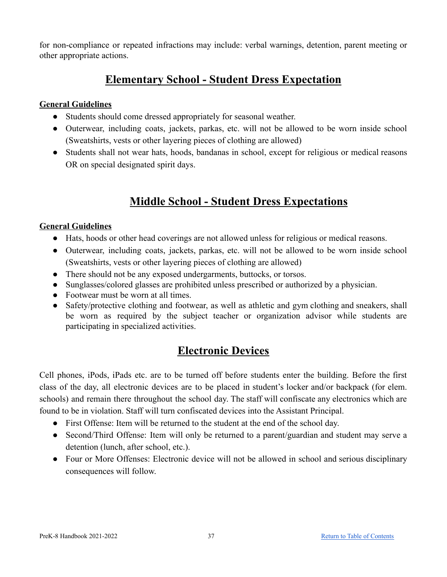for non-compliance or repeated infractions may include: verbal warnings, detention, parent meeting or other appropriate actions.

### **Elementary School - Student Dress Expectation**

### <span id="page-36-1"></span><span id="page-36-0"></span>**General Guidelines**

- Students should come dressed appropriately for seasonal weather.
- Outerwear, including coats, jackets, parkas, etc. will not be allowed to be worn inside school (Sweatshirts, vests or other layering pieces of clothing are allowed)
- Students shall not wear hats, hoods, bandanas in school, except for religious or medical reasons OR on special designated spirit days.

### **Middle School - Student Dress Expectations**

### <span id="page-36-3"></span><span id="page-36-2"></span>**General Guidelines**

- Hats, hoods or other head coverings are not allowed unless for religious or medical reasons.
- Outerwear, including coats, jackets, parkas, etc. will not be allowed to be worn inside school (Sweatshirts, vests or other layering pieces of clothing are allowed)
- There should not be any exposed undergarments, buttocks, or torsos.
- Sunglasses/colored glasses are prohibited unless prescribed or authorized by a physician.
- Footwear must be worn at all times.
- Safety/protective clothing and footwear, as well as athletic and gym clothing and sneakers, shall be worn as required by the subject teacher or organization advisor while students are participating in specialized activities.

### **Electronic Devices**

<span id="page-36-4"></span>Cell phones, iPods, iPads etc. are to be turned off before students enter the building. Before the first class of the day, all electronic devices are to be placed in student's locker and/or backpack (for elem. schools) and remain there throughout the school day. The staff will confiscate any electronics which are found to be in violation. Staff will turn confiscated devices into the Assistant Principal.

- First Offense: Item will be returned to the student at the end of the school day.
- Second/Third Offense: Item will only be returned to a parent/guardian and student may serve a detention (lunch, after school, etc.).
- Four or More Offenses: Electronic device will not be allowed in school and serious disciplinary consequences will follow.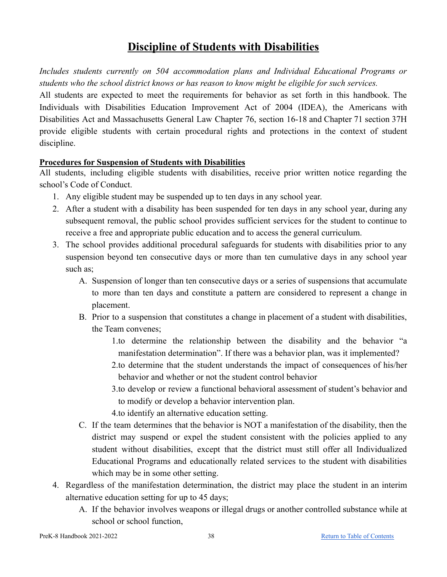### **Discipline of Students with Disabilities**

<span id="page-37-0"></span>*Includes students currently on 504 accommodation plans and Individual Educational Programs or students who the school district knows or has reason to know might be eligible for such services.*

All students are expected to meet the requirements for behavior as set forth in this handbook. The Individuals with Disabilities Education Improvement Act of 2004 (IDEA), the Americans with Disabilities Act and Massachusetts General Law Chapter 76, section 16-18 and Chapter 71 section 37H provide eligible students with certain procedural rights and protections in the context of student discipline.

### <span id="page-37-1"></span>**Procedures for Suspension of Students with Disabilities**

All students, including eligible students with disabilities, receive prior written notice regarding the school's Code of Conduct.

- 1. Any eligible student may be suspended up to ten days in any school year.
- 2. After a student with a disability has been suspended for ten days in any school year, during any subsequent removal, the public school provides sufficient services for the student to continue to receive a free and appropriate public education and to access the general curriculum.
- 3. The school provides additional procedural safeguards for students with disabilities prior to any suspension beyond ten consecutive days or more than ten cumulative days in any school year such as;
	- A. Suspension of longer than ten consecutive days or a series of suspensions that accumulate to more than ten days and constitute a pattern are considered to represent a change in placement.
	- B. Prior to a suspension that constitutes a change in placement of a student with disabilities, the Team convenes;
		- 1.to determine the relationship between the disability and the behavior "a manifestation determination". If there was a behavior plan, was it implemented?
		- 2.to determine that the student understands the impact of consequences of his/her behavior and whether or not the student control behavior
		- 3.to develop or review a functional behavioral assessment of student's behavior and to modify or develop a behavior intervention plan.
		- 4.to identify an alternative education setting.
	- C. If the team determines that the behavior is NOT a manifestation of the disability, then the district may suspend or expel the student consistent with the policies applied to any student without disabilities, except that the district must still offer all Individualized Educational Programs and educationally related services to the student with disabilities which may be in some other setting.
- 4. Regardless of the manifestation determination, the district may place the student in an interim alternative education setting for up to 45 days;
	- A. If the behavior involves weapons or illegal drugs or another controlled substance while at school or school function,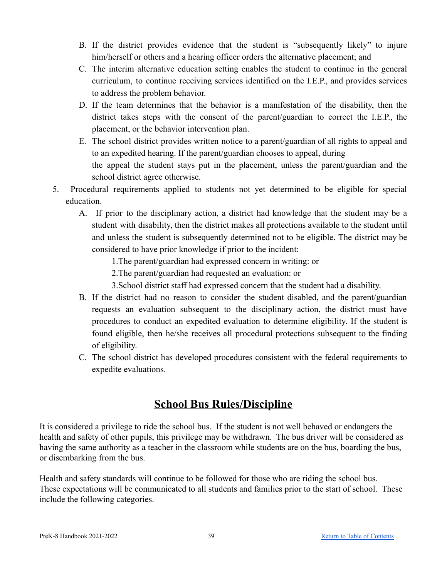- B. If the district provides evidence that the student is "subsequently likely" to injure him/herself or others and a hearing officer orders the alternative placement; and
- C. The interim alternative education setting enables the student to continue in the general curriculum, to continue receiving services identified on the I.E.P., and provides services to address the problem behavior.
- D. If the team determines that the behavior is a manifestation of the disability, then the district takes steps with the consent of the parent/guardian to correct the I.E.P., the placement, or the behavior intervention plan.
- E. The school district provides written notice to a parent/guardian of all rights to appeal and to an expedited hearing. If the parent/guardian chooses to appeal, during the appeal the student stays put in the placement, unless the parent/guardian and the school district agree otherwise.
- 5. Procedural requirements applied to students not yet determined to be eligible for special education.
	- A. If prior to the disciplinary action, a district had knowledge that the student may be a student with disability, then the district makes all protections available to the student until and unless the student is subsequently determined not to be eligible. The district may be considered to have prior knowledge if prior to the incident:
		- 1.The parent/guardian had expressed concern in writing: or
		- 2.The parent/guardian had requested an evaluation: or
		- 3.School district staff had expressed concern that the student had a disability.
	- B. If the district had no reason to consider the student disabled, and the parent/guardian requests an evaluation subsequent to the disciplinary action, the district must have procedures to conduct an expedited evaluation to determine eligibility. If the student is found eligible, then he/she receives all procedural protections subsequent to the finding of eligibility.
	- C. The school district has developed procedures consistent with the federal requirements to expedite evaluations.

### **School Bus Rules/Discipline**

<span id="page-38-0"></span>It is considered a privilege to ride the school bus. If the student is not well behaved or endangers the health and safety of other pupils, this privilege may be withdrawn. The bus driver will be considered as having the same authority as a teacher in the classroom while students are on the bus, boarding the bus, or disembarking from the bus.

Health and safety standards will continue to be followed for those who are riding the school bus. These expectations will be communicated to all students and families prior to the start of school. These include the following categories.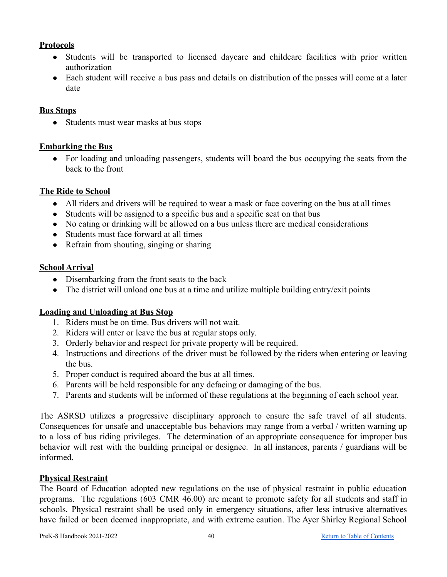### <span id="page-39-0"></span>**Protocols**

- Students will be transported to licensed daycare and childcare facilities with prior written authorization
- Each student will receive a bus pass and details on distribution of the passes will come at a later date

### <span id="page-39-1"></span>**Bus Stops**

• Students must wear masks at bus stops

### <span id="page-39-2"></span>**Embarking the Bus**

• For loading and unloading passengers, students will board the bus occupying the seats from the back to the front

### <span id="page-39-3"></span>**The Ride to School**

- All riders and drivers will be required to wear a mask or face covering on the bus at all times
- Students will be assigned to a specific bus and a specific seat on that bus
- No eating or drinking will be allowed on a bus unless there are medical considerations
- Students must face forward at all times
- Refrain from shouting, singing or sharing

### <span id="page-39-4"></span>**School Arrival**

- Disembarking from the front seats to the back
- The district will unload one bus at a time and utilize multiple building entry/exit points

### <span id="page-39-5"></span>**Loading and Unloading at Bus Stop**

- 1. Riders must be on time. Bus drivers will not wait.
- 2. Riders will enter or leave the bus at regular stops only.
- 3. Orderly behavior and respect for private property will be required.
- 4. Instructions and directions of the driver must be followed by the riders when entering or leaving the bus.
- 5. Proper conduct is required aboard the bus at all times.
- 6. Parents will be held responsible for any defacing or damaging of the bus.
- 7. Parents and students will be informed of these regulations at the beginning of each school year.

The ASRSD utilizes a progressive disciplinary approach to ensure the safe travel of all students. Consequences for unsafe and unacceptable bus behaviors may range from a verbal / written warning up to a loss of bus riding privileges. The determination of an appropriate consequence for improper bus behavior will rest with the building principal or designee. In all instances, parents / guardians will be informed.

### <span id="page-39-6"></span>**Physical Restraint**

The Board of Education adopted new regulations on the use of physical restraint in public education programs. The regulations (603 CMR 46.00) are meant to promote safety for all students and staff in schools. Physical restraint shall be used only in emergency situations, after less intrusive alternatives have failed or been deemed inappropriate, and with extreme caution. The Ayer Shirley Regional School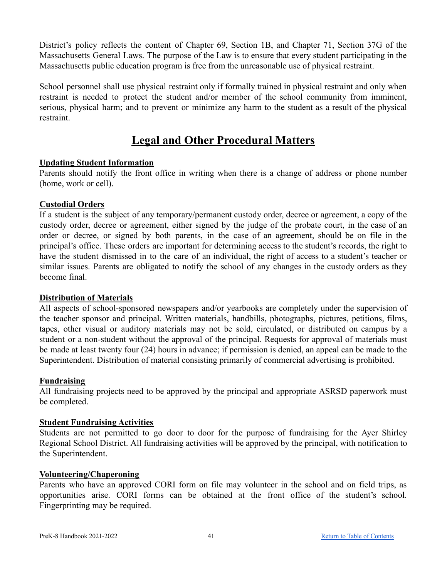District's policy reflects the content of Chapter 69, Section 1B, and Chapter 71, Section 37G of the Massachusetts General Laws. The purpose of the Law is to ensure that every student participating in the Massachusetts public education program is free from the unreasonable use of physical restraint.

School personnel shall use physical restraint only if formally trained in physical restraint and only when restraint is needed to protect the student and/or member of the school community from imminent, serious, physical harm; and to prevent or minimize any harm to the student as a result of the physical restraint.

### **Legal and Other Procedural Matters**

### <span id="page-40-1"></span><span id="page-40-0"></span>**Updating Student Information**

Parents should notify the front office in writing when there is a change of address or phone number (home, work or cell).

### <span id="page-40-2"></span>**Custodial Orders**

If a student is the subject of any temporary/permanent custody order, decree or agreement, a copy of the custody order, decree or agreement, either signed by the judge of the probate court, in the case of an order or decree, or signed by both parents, in the case of an agreement, should be on file in the principal's office. These orders are important for determining access to the student's records, the right to have the student dismissed in to the care of an individual, the right of access to a student's teacher or similar issues. Parents are obligated to notify the school of any changes in the custody orders as they become final.

### <span id="page-40-3"></span>**Distribution of Materials**

All aspects of school-sponsored newspapers and/or yearbooks are completely under the supervision of the teacher sponsor and principal. Written materials, handbills, photographs, pictures, petitions, films, tapes, other visual or auditory materials may not be sold, circulated, or distributed on campus by a student or a non-student without the approval of the principal. Requests for approval of materials must be made at least twenty four (24) hours in advance; if permission is denied, an appeal can be made to the Superintendent. Distribution of material consisting primarily of commercial advertising is prohibited.

### <span id="page-40-4"></span>**Fundraising**

All fundraising projects need to be approved by the principal and appropriate ASRSD paperwork must be completed.

### <span id="page-40-5"></span>**Student Fundraising Activities**

Students are not permitted to go door to door for the purpose of fundraising for the Ayer Shirley Regional School District. All fundraising activities will be approved by the principal, with notification to the Superintendent.

### <span id="page-40-6"></span>**Volunteering/Chaperoning**

Parents who have an approved CORI form on file may volunteer in the school and on field trips, as opportunities arise. CORI forms can be obtained at the front office of the student's school. Fingerprinting may be required.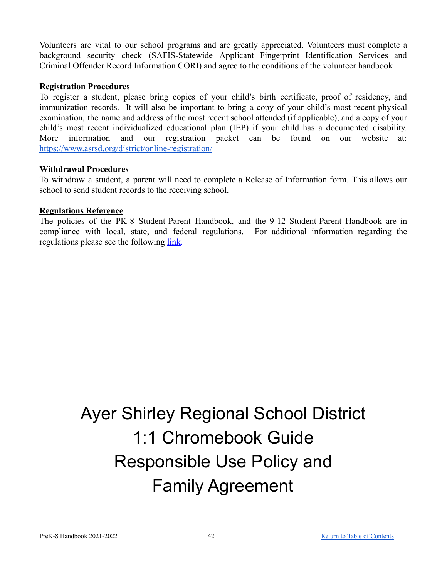Volunteers are vital to our school programs and are greatly appreciated. Volunteers must complete a background security check (SAFIS-Statewide Applicant Fingerprint Identification Services and Criminal Offender Record Information CORI) and agree to the conditions of the volunteer handbook

### <span id="page-41-0"></span>**Registration Procedures**

To register a student, please bring copies of your child's birth certificate, proof of residency, and immunization records. It will also be important to bring a copy of your child's most recent physical examination, the name and address of the most recent school attended (if applicable), and a copy of your child's most recent individualized educational plan (IEP) if your child has a documented disability. More information and our registration packet can be found on our website at: <https://www.asrsd.org/district/online-registration/>

### <span id="page-41-1"></span>**Withdrawal Procedures**

To withdraw a student, a parent will need to complete a Release of Information form. This allows our school to send student records to the receiving school.

### <span id="page-41-2"></span>**Regulations Reference**

The policies of the PK-8 Student-Parent Handbook, and the 9-12 Student-Parent Handbook are in compliance with local, state, and federal regulations. For additional information regarding the regulations please see the following [link.](https://docs.google.com/document/d/1FBzfT72UHn3bQPsmU4NA9usb0xxGXoIwbmygnZ9IOMc/edit?usp=sharing)

## Ayer Shirley Regional School District 1:1 Chromebook Guide Responsible Use Policy and Family Agreement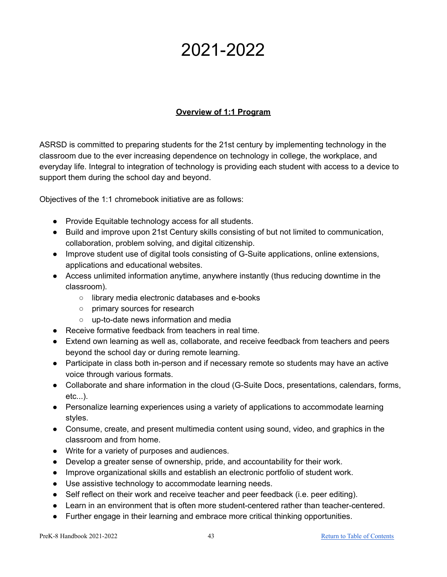## 2021-2022

### **Overview of 1:1 Program**

ASRSD is committed to preparing students for the 21st century by implementing technology in the classroom due to the ever increasing dependence on technology in college, the workplace, and everyday life. Integral to integration of technology is providing each student with access to a device to support them during the school day and beyond.

Objectives of the 1:1 chromebook initiative are as follows:

- Provide Equitable technology access for all students.
- Build and improve upon 21st Century skills consisting of but not limited to communication, collaboration, problem solving, and digital citizenship.
- Improve student use of digital tools consisting of G-Suite applications, online extensions, applications and educational websites.
- **●** Access unlimited information anytime, anywhere instantly (thus reducing downtime in the classroom).
	- **○** library media electronic databases and e-books
	- **○** primary sources for research
	- **○** up-to-date news information and media
- **●** Receive formative feedback from teachers in real time.
- **●** Extend own learning as well as, collaborate, and receive feedback from teachers and peers beyond the school day or during remote learning.
- **●** Participate in class both in-person and if necessary remote so students may have an active voice through various formats.
- **●** Collaborate and share information in the cloud (G-Suite Docs, presentations, calendars, forms, etc...).
- **●** Personalize learning experiences using a variety of applications to accommodate learning styles.
- **●** Consume, create, and present multimedia content using sound, video, and graphics in the classroom and from home.
- **●** Write for a variety of purposes and audiences.
- **●** Develop a greater sense of ownership, pride, and accountability for their work.
- **●** Improve organizational skills and establish an electronic portfolio of student work.
- **●** Use assistive technology to accommodate learning needs.
- **●** Self reflect on their work and receive teacher and peer feedback (i.e. peer editing).
- **●** Learn in an environment that is often more student-centered rather than teacher-centered.
- **●** Further engage in their learning and embrace more critical thinking opportunities.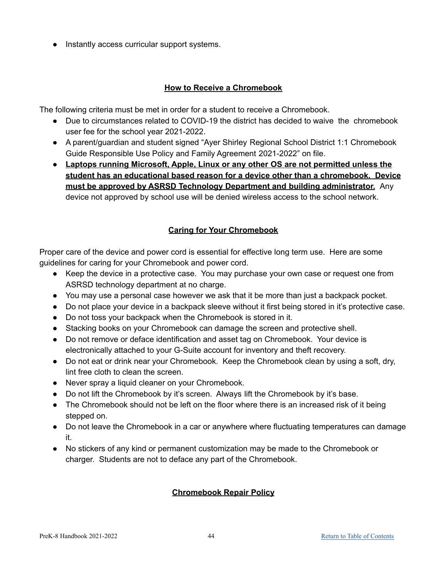**●** Instantly access curricular support systems.

### **How to Receive a Chromebook**

The following criteria must be met in order for a student to receive a Chromebook.

- Due to circumstances related to COVID-19 the district has decided to waive the chromebook user fee for the school year 2021-2022.
- A parent/guardian and student signed "Ayer Shirley Regional School District 1:1 Chromebook Guide Responsible Use Policy and Family Agreement 2021-2022" on file.
- **● Laptops running Microsoft, Apple, Linux or any other OS are not permitted unless the student has an educational based reason for a device other than a chromebook. Device must be approved by ASRSD Technology Department and building administrator.** Any device not approved by school use will be denied wireless access to the school network.

### **Caring for Your Chromebook**

Proper care of the device and power cord is essential for effective long term use. Here are some guidelines for caring for your Chromebook and power cord.

- Keep the device in a protective case. You may purchase your own case or request one from ASRSD technology department at no charge.
- You may use a personal case however we ask that it be more than just a backpack pocket.
- Do not place your device in a backpack sleeve without it first being stored in it's protective case.
- Do not toss your backpack when the Chromebook is stored in it.
- Stacking books on your Chromebook can damage the screen and protective shell.
- Do not remove or deface identification and asset tag on Chromebook. Your device is electronically attached to your G-Suite account for inventory and theft recovery.
- Do not eat or drink near your Chromebook. Keep the Chromebook clean by using a soft, dry, lint free cloth to clean the screen.
- Never spray a liquid cleaner on your Chromebook.
- Do not lift the Chromebook by it's screen. Always lift the Chromebook by it's base.
- The Chromebook should not be left on the floor where there is an increased risk of it being stepped on.
- Do not leave the Chromebook in a car or anywhere where fluctuating temperatures can damage it.
- No stickers of any kind or permanent customization may be made to the Chromebook or charger. Students are not to deface any part of the Chromebook.

### **Chromebook Repair Policy**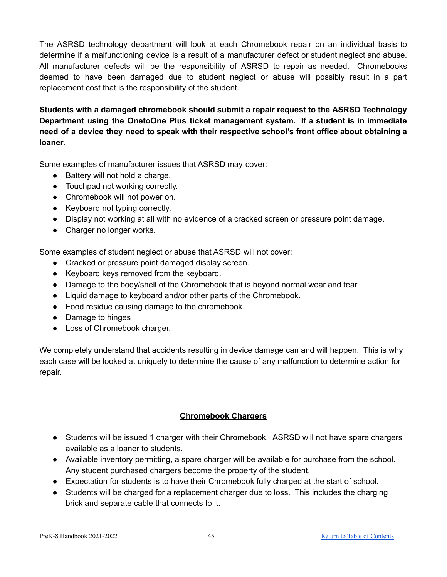The ASRSD technology department will look at each Chromebook repair on an individual basis to determine if a malfunctioning device is a result of a manufacturer defect or student neglect and abuse. All manufacturer defects will be the responsibility of ASRSD to repair as needed. Chromebooks deemed to have been damaged due to student neglect or abuse will possibly result in a part replacement cost that is the responsibility of the student.

**Students with a damaged chromebook should submit a repair request to the ASRSD Technology Department using the OnetoOne Plus ticket management system. If a student is in immediate need of a device they need to speak with their respective school's front office about obtaining a loaner.**

Some examples of manufacturer issues that ASRSD may cover:

- Battery will not hold a charge.
- Touchpad not working correctly.
- Chromebook will not power on.
- Keyboard not typing correctly.
- Display not working at all with no evidence of a cracked screen or pressure point damage.
- Charger no longer works.

Some examples of student neglect or abuse that ASRSD will not cover:

- Cracked or pressure point damaged display screen.
- Keyboard keys removed from the keyboard.
- Damage to the body/shell of the Chromebook that is beyond normal wear and tear.
- Liquid damage to keyboard and/or other parts of the Chromebook.
- Food residue causing damage to the chromebook.
- Damage to hinges
- Loss of Chromebook charger.

We completely understand that accidents resulting in device damage can and will happen. This is why each case will be looked at uniquely to determine the cause of any malfunction to determine action for repair.

### **Chromebook Chargers**

- Students will be issued 1 charger with their Chromebook. ASRSD will not have spare chargers available as a loaner to students.
- Available inventory permitting, a spare charger will be available for purchase from the school. Any student purchased chargers become the property of the student.
- Expectation for students is to have their Chromebook fully charged at the start of school.
- Students will be charged for a replacement charger due to loss. This includes the charging brick and separate cable that connects to it.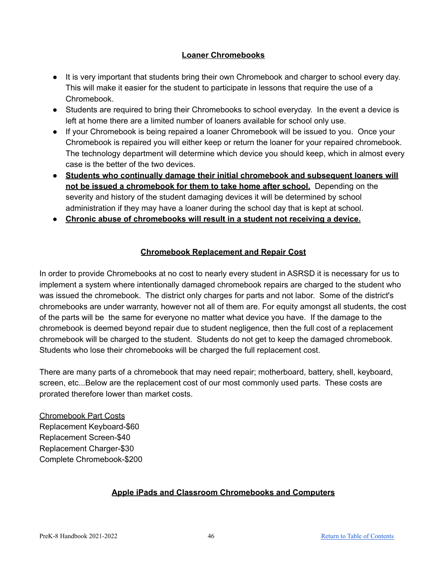### **Loaner Chromebooks**

- It is very important that students bring their own Chromebook and charger to school every day. This will make it easier for the student to participate in lessons that require the use of a Chromebook.
- Students are required to bring their Chromebooks to school everyday. In the event a device is left at home there are a limited number of loaners available for school only use.
- If your Chromebook is being repaired a loaner Chromebook will be issued to you. Once your Chromebook is repaired you will either keep or return the loaner for your repaired chromebook. The technology department will determine which device you should keep, which in almost every case is the better of the two devices.
- **Students who continually damage their initial chromebook and subsequent loaners will not be issued a chromebook for them to take home after school.** Depending on the severity and history of the student damaging devices it will be determined by school administration if they may have a loaner during the school day that is kept at school.
- **● Chronic abuse of chromebooks will result in a student not receiving a device.**

### **Chromebook Replacement and Repair Cost**

In order to provide Chromebooks at no cost to nearly every student in ASRSD it is necessary for us to implement a system where intentionally damaged chromebook repairs are charged to the student who was issued the chromebook. The district only charges for parts and not labor. Some of the district's chromebooks are under warranty, however not all of them are. For equity amongst all students, the cost of the parts will be the same for everyone no matter what device you have. If the damage to the chromebook is deemed beyond repair due to student negligence, then the full cost of a replacement chromebook will be charged to the student. Students do not get to keep the damaged chromebook. Students who lose their chromebooks will be charged the full replacement cost.

There are many parts of a chromebook that may need repair; motherboard, battery, shell, keyboard, screen, etc...Below are the replacement cost of our most commonly used parts. These costs are prorated therefore lower than market costs.

Chromebook Part Costs Replacement Keyboard-\$60 Replacement Screen-\$40 Replacement Charger-\$30 Complete Chromebook-\$200

### **Apple iPads and Classroom Chromebooks and Computers**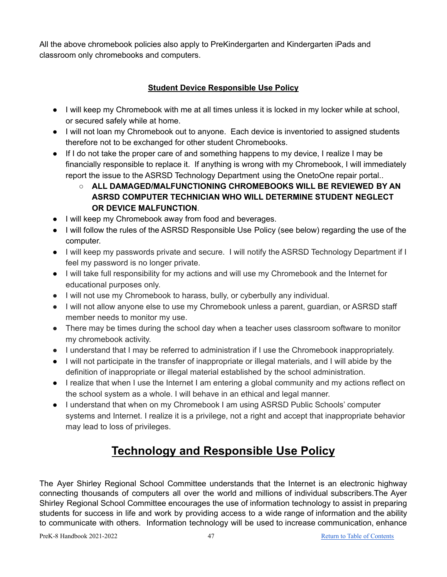All the above chromebook policies also apply to PreKindergarten and Kindergarten iPads and classroom only chromebooks and computers.

### **Student Device Responsible Use Policy**

- I will keep my Chromebook with me at all times unless it is locked in my locker while at school, or secured safely while at home.
- I will not loan my Chromebook out to anyone. Each device is inventoried to assigned students therefore not to be exchanged for other student Chromebooks.
- If I do not take the proper care of and something happens to my device, I realize I may be financially responsible to replace it. If anything is wrong with my Chromebook, I will immediately report the issue to the ASRSD Technology Department using the OnetoOne repair portal..
	- **ALL DAMAGED/MALFUNCTIONING CHROMEBOOKS WILL BE REVIEWED BY AN ASRSD COMPUTER TECHNICIAN WHO WILL DETERMINE STUDENT NEGLECT OR DEVICE MALFUNCTION**.
- I will keep my Chromebook away from food and beverages.
- I will follow the rules of the ASRSD Responsible Use Policy (see below) regarding the use of the computer.
- I will keep my passwords private and secure. I will notify the ASRSD Technology Department if I feel my password is no longer private.
- I will take full responsibility for my actions and will use my Chromebook and the Internet for educational purposes only.
- I will not use my Chromebook to harass, bully, or cyberbully any individual.
- I will not allow anyone else to use my Chromebook unless a parent, guardian, or ASRSD staff member needs to monitor my use.
- There may be times during the school day when a teacher uses classroom software to monitor my chromebook activity.
- I understand that I may be referred to administration if I use the Chromebook inappropriately.
- I will not participate in the transfer of inappropriate or illegal materials, and I will abide by the definition of inappropriate or illegal material established by the school administration.
- I realize that when I use the Internet I am entering a global community and my actions reflect on the school system as a whole. I will behave in an ethical and legal manner.
- I understand that when on my Chromebook I am using ASRSD Public Schools' computer systems and Internet. I realize it is a privilege, not a right and accept that inappropriate behavior may lead to loss of privileges.

### **Technology and Responsible Use Policy**

<span id="page-46-0"></span>The Ayer Shirley Regional School Committee understands that the Internet is an electronic highway connecting thousands of computers all over the world and millions of individual subscribers.The Ayer Shirley Regional School Committee encourages the use of information technology to assist in preparing students for success in life and work by providing access to a wide range of information and the ability to communicate with others. Information technology will be used to increase communication, enhance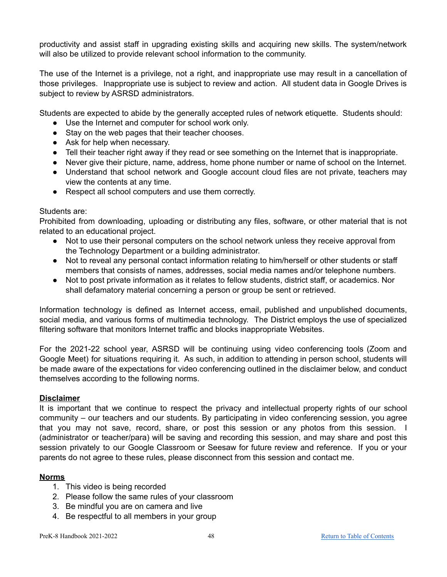productivity and assist staff in upgrading existing skills and acquiring new skills. The system/network will also be utilized to provide relevant school information to the community.

The use of the Internet is a privilege, not a right, and inappropriate use may result in a cancellation of those privileges. Inappropriate use is subject to review and action. All student data in Google Drives is subject to review by ASRSD administrators.

Students are expected to abide by the generally accepted rules of network etiquette. Students should:

- Use the Internet and computer for school work only.
- Stay on the web pages that their teacher chooses.
- Ask for help when necessary.
- Tell their teacher right away if they read or see something on the Internet that is inappropriate.
- Never give their picture, name, address, home phone number or name of school on the Internet.
- Understand that school network and Google account cloud files are not private, teachers may view the contents at any time.
- Respect all school computers and use them correctly.

#### Students are:

Prohibited from downloading, uploading or distributing any files, software, or other material that is not related to an educational project.

- Not to use their personal computers on the school network unless they receive approval from the Technology Department or a building administrator.
- Not to reveal any personal contact information relating to him/herself or other students or staff members that consists of names, addresses, social media names and/or telephone numbers.
- Not to post private information as it relates to fellow students, district staff, or academics. Nor shall defamatory material concerning a person or group be sent or retrieved.

Information technology is defined as Internet access, email, published and unpublished documents, social media, and various forms of multimedia technology. The District employs the use of specialized filtering software that monitors Internet traffic and blocks inappropriate Websites.

For the 2021-22 school year, ASRSD will be continuing using video conferencing tools (Zoom and Google Meet) for situations requiring it. As such, in addition to attending in person school, students will be made aware of the expectations for video conferencing outlined in the disclaimer below, and conduct themselves according to the following norms.

### <span id="page-47-0"></span>**Disclaimer**

It is important that we continue to respect the privacy and intellectual property rights of our school community – our teachers and our students. By participating in video conferencing session, you agree that you may not save, record, share, or post this session or any photos from this session. I (administrator or teacher/para) will be saving and recording this session, and may share and post this session privately to our Google Classroom or Seesaw for future review and reference. If you or your parents do not agree to these rules, please disconnect from this session and contact me.

### <span id="page-47-1"></span>**Norms**

- 1. This video is being recorded
- 2. Please follow the same rules of your classroom
- 3. Be mindful you are on camera and live
- 4. Be respectful to all members in your group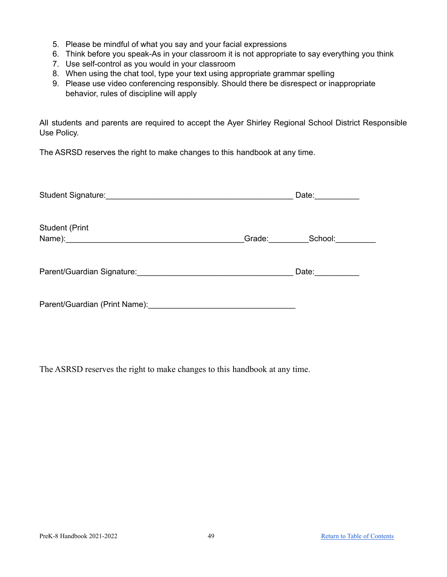- 5. Please be mindful of what you say and your facial expressions
- 6. Think before you speak-As in your classroom it is not appropriate to say everything you think
- 7. Use self-control as you would in your classroom
- 8. When using the chat tool, type your text using appropriate grammar spelling
- 9. Please use video conferencing responsibly. Should there be disrespect or inappropriate behavior, rules of discipline will apply

All students and parents are required to accept the Ayer Shirley Regional School District Responsible Use Policy.

The ASRSD reserves the right to make changes to this handbook at any time.

| Student Signature: Management Student Signature:                                                              | Date: and the state of the state of the state of the state of the state of the state of the state of the state of the state of the state of the state of the state of the state of the state of the state of the state of the |
|---------------------------------------------------------------------------------------------------------------|-------------------------------------------------------------------------------------------------------------------------------------------------------------------------------------------------------------------------------|
| <b>Student (Print</b>                                                                                         | Grade: School:                                                                                                                                                                                                                |
| Parent/Guardian Signature: 2008 2009 2010 2020 2021 2022 2023 2024 2022 2023 2024 2022 2023 2024 2022 2023 20 | Date: $\frac{1}{2}$                                                                                                                                                                                                           |
| Parent/Guardian (Print Name): 2008 - 2008 - 2014 - 2014 - 2016 - 2017 - 2018 - 2019 - 2019 - 2019 - 2019 - 20 |                                                                                                                                                                                                                               |

The ASRSD reserves the right to make changes to this handbook at any time.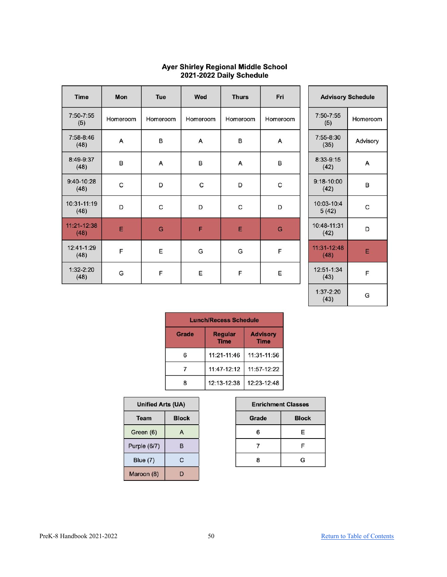| <b>Time</b>         | Mon      | Tue      | Wed      | <b>Thurs</b> | Fri      |
|---------------------|----------|----------|----------|--------------|----------|
| 7:50-7:55<br>(5)    | Homeroom | Homeroom | Homeroom | Homeroom     | Homeroom |
| 7:58-8:46<br>(48)   | A        | B        | Α        | B            | Α        |
| 8:49-9:37<br>(48)   | в        | A        | в        | Α            | в        |
| 9:40-10:28<br>(48)  | C        | D        | С        | D            | C        |
| 10:31-11:19<br>(48) | D        | C        | D        | C            | D        |
| 11:21-12:38<br>(48) | E        | G        | F        | E            | G        |
| 12:41-1:29<br>(48)  | F        | E        | G        | G            | F        |
| $1:32-2:20$<br>(48) | G        | F        | E        | F            | E        |

## Ayer Shirley Regional Middle School<br>2021-2022 Daily Schedule

| <b>Advisory Schedule</b> |          |  |  |  |
|--------------------------|----------|--|--|--|
| $7:50 - 7:55$<br>(5)     | Homeroom |  |  |  |
| $7:55 - 8:30$<br>(35)    | Advisory |  |  |  |
| $8:33-9:15$<br>(42)      | А        |  |  |  |
| $9:18 - 10:00$<br>(42)   | в        |  |  |  |
| 10:03-10:4<br>5(42)      | С        |  |  |  |
| 10:48-11:31<br>(42)      | D        |  |  |  |
| $11:31-12:48$<br>(48)    | E        |  |  |  |
| 12:51-1:34<br>(43)       | F        |  |  |  |
| $1:37-2:20$<br>(43)      | G        |  |  |  |

|       | <b>Lunch/Recess Schedule</b>  |                                |  |  |  |
|-------|-------------------------------|--------------------------------|--|--|--|
| Grade | <b>Regular</b><br><b>Time</b> | <b>Advisory</b><br><b>Time</b> |  |  |  |
| 6     | 11:21-11:46                   | 11:31-11:56                    |  |  |  |
|       | 11:47-12:12                   | 11:57-12:22                    |  |  |  |
| 8     | 12:13-12:38                   | 12:23-12:48                    |  |  |  |

| Unified Arts (UA)    |   |  |  |
|----------------------|---|--|--|
| <b>Block</b><br>Team |   |  |  |
| Green (6)            | A |  |  |
| Purple (6/7)         | в |  |  |
| <b>Blue (7)</b>      | C |  |  |
| Maroon (8)           |   |  |  |

| <b>Enrichment Classes</b> |              |  |  |  |
|---------------------------|--------------|--|--|--|
| Grade                     | <b>Block</b> |  |  |  |
| ี                         | Е            |  |  |  |
|                           | F            |  |  |  |
| R                         | G            |  |  |  |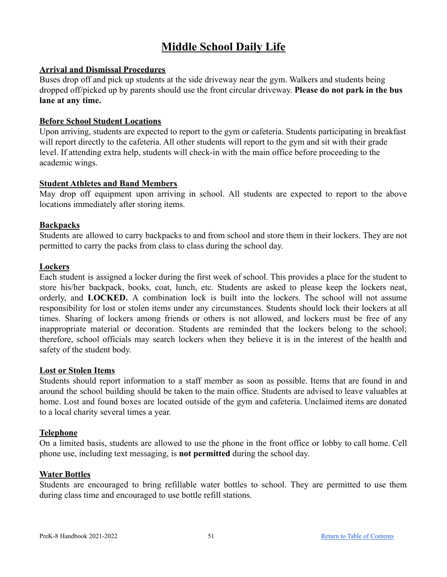### **Middle School Daily Life**

### <span id="page-50-1"></span><span id="page-50-0"></span>**Arrival and Dismissal Procedures**

Buses drop off and pick up students at the side driveway near the gym. Walkers and students being dropped off/picked up by parents should use the front circular driveway. **Please do not park in the bus lane at any time.**

### <span id="page-50-2"></span>**Before School Student Locations**

Upon arriving, students are expected to report to the gym or cafeteria. Students participating in breakfast will report directly to the cafeteria. All other students will report to the gym and sit with their grade level. If attending extra help, students will check-in with the main office before proceeding to the academic wings.

### <span id="page-50-3"></span>**Student Athletes and Band Members**

May drop off equipment upon arriving in school. All students are expected to report to the above locations immediately after storing items.

### <span id="page-50-4"></span>**Backpacks**

Students are allowed to carry backpacks to and from school and store them in their lockers. They are not permitted to carry the packs from class to class during the school day.

#### <span id="page-50-5"></span>**Lockers**

Each student is assigned a locker during the first week of school. This provides a place for the student to store his/her backpack, books, coat, lunch, etc. Students are asked to please keep the lockers neat, orderly, and **LOCKED.** A combination lock is built into the lockers. The school will not assume responsibility for lost or stolen items under any circumstances. Students should lock their lockers at all times. Sharing of lockers among friends or others is not allowed, and lockers must be free of any inappropriate material or decoration. Students are reminded that the lockers belong to the school; therefore, school officials may search lockers when they believe it is in the interest of the health and safety of the student body.

### <span id="page-50-6"></span>**Lost or Stolen Items**

Students should report information to a staff member as soon as possible. Items that are found in and around the school building should be taken to the main office. Students are advised to leave valuables at home. Lost and found boxes are located outside of the gym and cafeteria. Unclaimed items are donated to a local charity several times a year.

### <span id="page-50-7"></span>**Telephone**

On a limited basis, students are allowed to use the phone in the front office or lobby to call home. Cell phone use, including text messaging, is **not permitted** during the school day.

#### <span id="page-50-8"></span>**Water Bottles**

Students are encouraged to bring refillable water bottles to school. They are permitted to use them during class time and encouraged to use bottle refill stations.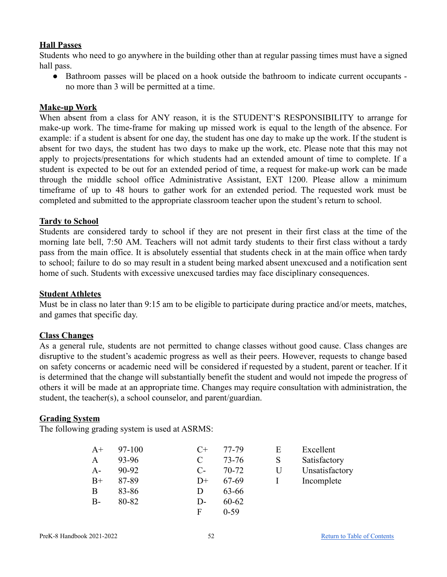### <span id="page-51-0"></span>**Hall Passes**

Students who need to go anywhere in the building other than at regular passing times must have a signed hall pass.

• Bathroom passes will be placed on a hook outside the bathroom to indicate current occupants no more than 3 will be permitted at a time.

### <span id="page-51-1"></span>**Make-up Work**

When absent from a class for ANY reason, it is the STUDENT'S RESPONSIBILITY to arrange for make-up work. The time-frame for making up missed work is equal to the length of the absence. For example: if a student is absent for one day, the student has one day to make up the work. If the student is absent for two days, the student has two days to make up the work, etc. Please note that this may not apply to projects/presentations for which students had an extended amount of time to complete. If a student is expected to be out for an extended period of time, a request for make-up work can be made through the middle school office Administrative Assistant, EXT 1200. Please allow a minimum timeframe of up to 48 hours to gather work for an extended period. The requested work must be completed and submitted to the appropriate classroom teacher upon the student's return to school.

### <span id="page-51-2"></span>**Tardy to School**

Students are considered tardy to school if they are not present in their first class at the time of the morning late bell, 7:50 AM. Teachers will not admit tardy students to their first class without a tardy pass from the main office. It is absolutely essential that students check in at the main office when tardy to school; failure to do so may result in a student being marked absent unexcused and a notification sent home of such. Students with excessive unexcused tardies may face disciplinary consequences.

### <span id="page-51-3"></span>**Student Athletes**

Must be in class no later than 9:15 am to be eligible to participate during practice and/or meets, matches, and games that specific day.

### <span id="page-51-4"></span>**Class Changes**

As a general rule, students are not permitted to change classes without good cause. Class changes are disruptive to the student's academic progress as well as their peers. However, requests to change based on safety concerns or academic need will be considered if requested by a student, parent or teacher. If it is determined that the change will substantially benefit the student and would not impede the progress of others it will be made at an appropriate time. Changes may require consultation with administration, the student, the teacher(s), a school counselor, and parent/guardian.

### <span id="page-51-5"></span>**Grading System**

The following grading system is used at ASRMS:

| $A+$  | 97-100 | $C+$         | 77-79  | E | Excellent      |
|-------|--------|--------------|--------|---|----------------|
| A     | 93-96  |              | 73-76  | S | Satisfactory   |
| A-    | 90-92  | C-           | 70-72  | U | Unsatisfactory |
| $B+$  | 87-89  | $D+$         | 67-69  |   | Incomplete     |
| В     | 83-86  | $\mathsf{D}$ | 63-66  |   |                |
| $B -$ | 80-82  | $\mathsf{D}$ | 60-62  |   |                |
|       |        | F            | $0-59$ |   |                |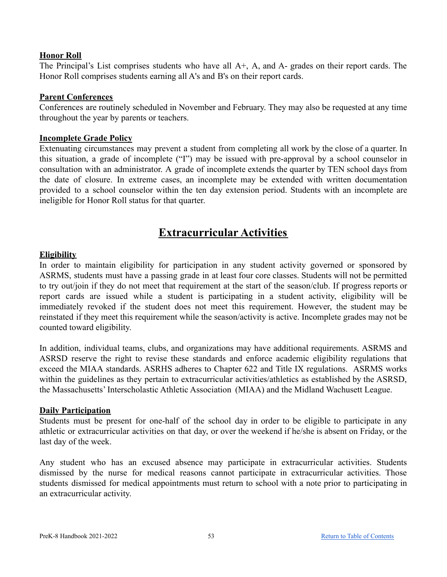### <span id="page-52-0"></span>**Honor Roll**

The Principal's List comprises students who have all A+, A, and A- grades on their report cards. The Honor Roll comprises students earning all A's and B's on their report cards.

### <span id="page-52-1"></span>**Parent Conferences**

Conferences are routinely scheduled in November and February. They may also be requested at any time throughout the year by parents or teachers.

#### <span id="page-52-2"></span>**Incomplete Grade Policy**

Extenuating circumstances may prevent a student from completing all work by the close of a quarter. In this situation, a grade of incomplete ("I") may be issued with pre-approval by a school counselor in consultation with an administrator. A grade of incomplete extends the quarter by TEN school days from the date of closure. In extreme cases, an incomplete may be extended with written documentation provided to a school counselor within the ten day extension period. Students with an incomplete are ineligible for Honor Roll status for that quarter.

### **Extracurricular Activities**

#### <span id="page-52-4"></span><span id="page-52-3"></span>**Eligibility**

In order to maintain eligibility for participation in any student activity governed or sponsored by ASRMS, students must have a passing grade in at least four core classes. Students will not be permitted to try out/join if they do not meet that requirement at the start of the season/club. If progress reports or report cards are issued while a student is participating in a student activity, eligibility will be immediately revoked if the student does not meet this requirement. However, the student may be reinstated if they meet this requirement while the season/activity is active. Incomplete grades may not be counted toward eligibility.

In addition, individual teams, clubs, and organizations may have additional requirements. ASRMS and ASRSD reserve the right to revise these standards and enforce academic eligibility regulations that exceed the MIAA standards. ASRHS adheres to Chapter 622 and Title IX regulations. ASRMS works within the guidelines as they pertain to extracurricular activities/athletics as established by the ASRSD, the Massachusetts' Interscholastic Athletic Association (MIAA) and the Midland Wachusett League.

### <span id="page-52-5"></span>**Daily Participation**

Students must be present for one-half of the school day in order to be eligible to participate in any athletic or extracurricular activities on that day, or over the weekend if he/she is absent on Friday, or the last day of the week.

Any student who has an excused absence may participate in extracurricular activities. Students dismissed by the nurse for medical reasons cannot participate in extracurricular activities. Those students dismissed for medical appointments must return to school with a note prior to participating in an extracurricular activity.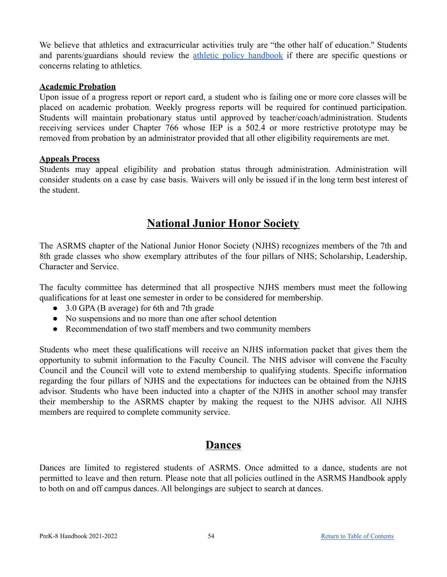We believe that athletics and extracurricular activities truly are "the other half of education." Students and parents/guardians should review the athletic policy [handbook](https://docs.google.com/document/d/16njBmQGZ7fwq7QJYDOF_UzJOfRyMSXqTqIF-i6k_3pc/edit?usp=sharing) if there are specific questions or concerns relating to athletics.

### <span id="page-53-0"></span>**Academic Probation**

Upon issue of a progress report or report card, a student who is failing one or more core classes will be placed on academic probation. Weekly progress reports will be required for continued participation. Students will maintain probationary status until approved by teacher/coach/administration. Students receiving services under Chapter 766 whose IEP is a 502.4 or more restrictive prototype may be removed from probation by an administrator provided that all other eligibility requirements are met.

### <span id="page-53-1"></span>**Appeals Process**

Students may appeal eligibility and probation status through administration. Administration will consider students on a case by case basis. Waivers will only be issued if in the long term best interest of the student.

### **National Junior Honor Society**

<span id="page-53-2"></span>The ASRMS chapter of the National Junior Honor Society (NJHS) recognizes members of the 7th and 8th grade classes who show exemplary attributes of the four pillars of NHS; Scholarship, Leadership, Character and Service.

The faculty committee has determined that all prospective NJHS members must meet the following qualifications for at least one semester in order to be considered for membership.

- 3.0 GPA (B average) for 6th and 7th grade
- No suspensions and no more than one after school detention
- Recommendation of two staff members and two community members

Students who meet these qualifications will receive an NJHS information packet that gives them the opportunity to submit information to the Faculty Council. The NHS advisor will convene the Faculty Council and the Council will vote to extend membership to qualifying students. Specific information regarding the four pillars of NJHS and the expectations for inductees can be obtained from the NJHS advisor. Students who have been inducted into a chapter of the NJHS in another school may transfer their membership to the ASRMS chapter by making the request to the NJHS advisor. All NJHS members are required to complete community service.

### **Dances**

<span id="page-53-3"></span>Dances are limited to registered students of ASRMS. Once admitted to a dance, students are not permitted to leave and then return. Please note that all policies outlined in the ASRMS Handbook apply to both on and off campus dances. All belongings are subject to search at dances.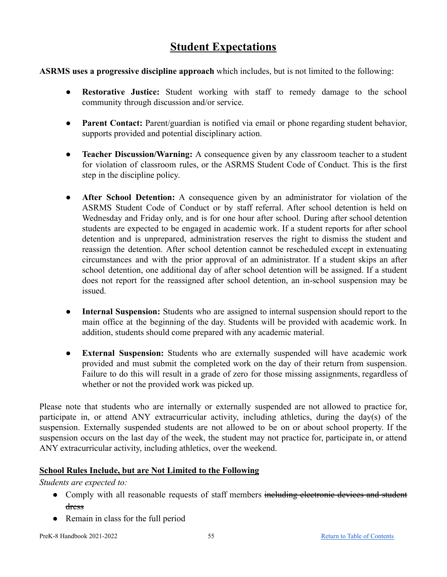### **Student Expectations**

<span id="page-54-0"></span>**ASRMS uses a progressive discipline approach** which includes, but is not limited to the following:

- **Restorative Justice:** Student working with staff to remedy damage to the school community through discussion and/or service.
- **Parent Contact:** Parent/guardian is notified via email or phone regarding student behavior, supports provided and potential disciplinary action.
- **Teacher Discussion/Warning:** A consequence given by any classroom teacher to a student for violation of classroom rules, or the ASRMS Student Code of Conduct. This is the first step in the discipline policy.
- **After School Detention:** A consequence given by an administrator for violation of the ASRMS Student Code of Conduct or by staff referral. After school detention is held on Wednesday and Friday only, and is for one hour after school. During after school detention students are expected to be engaged in academic work. If a student reports for after school detention and is unprepared, administration reserves the right to dismiss the student and reassign the detention. After school detention cannot be rescheduled except in extenuating circumstances and with the prior approval of an administrator. If a student skips an after school detention, one additional day of after school detention will be assigned. If a student does not report for the reassigned after school detention, an in-school suspension may be issued.
- **Internal Suspension:** Students who are assigned to internal suspension should report to the main office at the beginning of the day. Students will be provided with academic work. In addition, students should come prepared with any academic material.
- **External Suspension:** Students who are externally suspended will have academic work provided and must submit the completed work on the day of their return from suspension. Failure to do this will result in a grade of zero for those missing assignments, regardless of whether or not the provided work was picked up.

Please note that students who are internally or externally suspended are not allowed to practice for, participate in, or attend ANY extracurricular activity, including athletics, during the day(s) of the suspension. Externally suspended students are not allowed to be on or about school property. If the suspension occurs on the last day of the week, the student may not practice for, participate in, or attend ANY extracurricular activity, including athletics, over the weekend.

### **School Rules Include, but are Not Limited to the Following**

*Students are expected to:*

- Comply with all reasonable requests of staff members including electronic devices and student dress
- Remain in class for the full period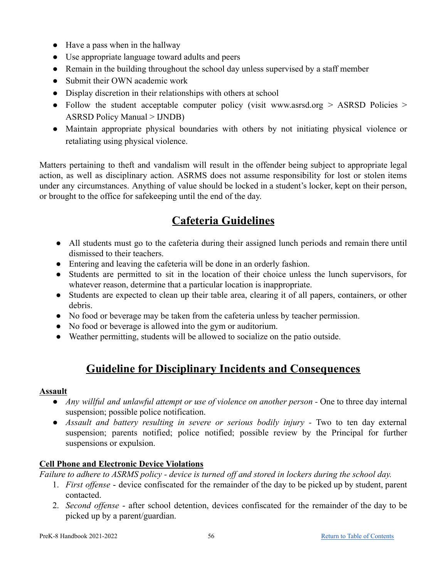- Have a pass when in the hallway
- Use appropriate language toward adults and peers
- Remain in the building throughout the school day unless supervised by a staff member
- Submit their OWN academic work
- Display discretion in their relationships with others at school
- Follow the student acceptable computer policy (visit www.asrsd.org  $>$  ASRSD Policies  $>$ ASRSD Policy Manual > IJNDB)
- Maintain appropriate physical boundaries with others by not initiating physical violence or retaliating using physical violence.

Matters pertaining to theft and vandalism will result in the offender being subject to appropriate legal action, as well as disciplinary action. ASRMS does not assume responsibility for lost or stolen items under any circumstances. Anything of value should be locked in a student's locker, kept on their person, or brought to the office for safekeeping until the end of the day.

### **Cafeteria Guidelines**

- <span id="page-55-0"></span>● All students must go to the cafeteria during their assigned lunch periods and remain there until dismissed to their teachers.
- Entering and leaving the cafeteria will be done in an orderly fashion.
- Students are permitted to sit in the location of their choice unless the lunch supervisors, for whatever reason, determine that a particular location is inappropriate.
- Students are expected to clean up their table area, clearing it of all papers, containers, or other debris.
- No food or beverage may be taken from the cafeteria unless by teacher permission.
- No food or beverage is allowed into the gym or auditorium.
- Weather permitting, students will be allowed to socialize on the patio outside.

### **Guideline for Disciplinary Incidents and Consequences**

### <span id="page-55-2"></span><span id="page-55-1"></span>**Assault**

- *Any willful and unlawful attempt or use of violence on another person -* One to three day internal suspension; possible police notification.
- *● Assault and battery resulting in severe or serious bodily injury -* Two to ten day external suspension; parents notified; police notified; possible review by the Principal for further suspensions or expulsion.

### <span id="page-55-3"></span>**Cell Phone and Electronic Device Violations**

*Failure to adhere to ASRMS policy - device is turned off and stored in lockers during the school day.*

- 1. *First offense* device confiscated for the remainder of the day to be picked up by student, parent contacted.
- 2. *Second offense* after school detention, devices confiscated for the remainder of the day to be picked up by a parent/guardian.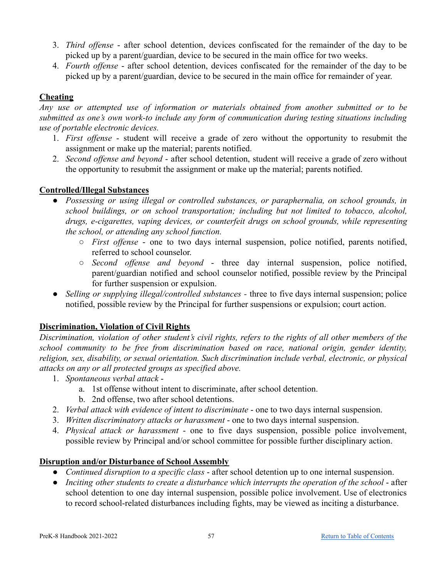- 3. *Third offense* after school detention, devices confiscated for the remainder of the day to be picked up by a parent/guardian, device to be secured in the main office for two weeks.
- 4. *Fourth offense* after school detention, devices confiscated for the remainder of the day to be picked up by a parent/guardian, device to be secured in the main office for remainder of year.

### <span id="page-56-0"></span>**Cheating**

*Any use or attempted use of information or materials obtained from another submitted or to be submitted as one's own work-to include any form of communication during testing situations including use of portable electronic devices.*

- 1. *First offense* student will receive a grade of zero without the opportunity to resubmit the assignment or make up the material; parents notified.
- 2. *Second offense and beyond* after school detention, student will receive a grade of zero without the opportunity to resubmit the assignment or make up the material; parents notified.

### <span id="page-56-1"></span>**Controlled/Illegal Substances**

- *Possessing or using illegal or controlled substances, or paraphernalia, on school grounds, in school buildings, or on school transportation; including but not limited to tobacco, alcohol, drugs, e-cigarettes, vaping devices, or counterfeit drugs on school grounds, while representing the school, or attending any school function.*
	- *First offense* one to two days internal suspension, police notified, parents notified, referred to school counselor.
	- *Second offense and beyond* three day internal suspension, police notified, parent/guardian notified and school counselor notified, possible review by the Principal for further suspension or expulsion.
- *● Selling or supplying illegal/controlled substances -* three to five days internal suspension; police notified, possible review by the Principal for further suspensions or expulsion; court action.

### <span id="page-56-2"></span>**Discrimination, Violation of Civil Rights**

Discrimination, violation of other student's civil rights, refers to the rights of all other members of the *school community to be free from discrimination based on race, national origin, gender identity, religion, sex, disability, or sexual orientation. Such discrimination include verbal, electronic, or physical attacks on any or all protected groups as specified above.*

- 1. *Spontaneous verbal attack*
	- a. 1st offense without intent to discriminate, after school detention.
	- b. 2nd offense, two after school detentions.
- 2. *Verbal attack with evidence of intent to discriminate* one to two days internal suspension.
- 3. *Written discriminatory attacks or harassment* one to two days internal suspension.
- 4. *Physical attack or harassment* one to five days suspension, possible police involvement, possible review by Principal and/or school committee for possible further disciplinary action.

### <span id="page-56-3"></span>**Disruption and/or Disturbance of School Assembly**

- *Continued disruption to a specific class* after school detention up to one internal suspension.
- *Inciting other students to create a disturbance which interrupts the operation of the school* after school detention to one day internal suspension, possible police involvement. Use of electronics to record school-related disturbances including fights, may be viewed as inciting a disturbance.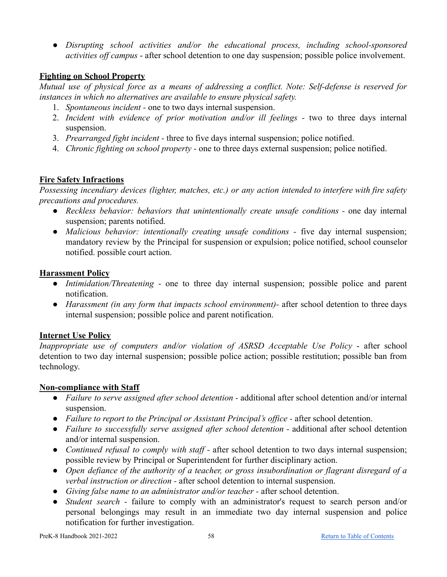● *Disrupting school activities and/or the educational process, including school-sponsored activities off campus* - after school detention to one day suspension; possible police involvement.

### <span id="page-57-0"></span>**Fighting on School Property**

*Mutual use of physical force as a means of addressing a conflict. Note: Self-defense is reserved for instances in which no alternatives are available to ensure physical safety.*

- 1. *Spontaneous incident -* one to two days internal suspension.
- 2. *Incident with evidence of prior motivation and/or ill feelings -* two to three days internal suspension.
- 3. *Prearranged fight incident -* three to five days internal suspension; police notified.
- 4. *Chronic fighting on school property -* one to three days external suspension; police notified.

### <span id="page-57-1"></span>**Fire Safety Infractions**

*Possessing incendiary devices (lighter, matches, etc.) or any action intended to interfere with fire safety precautions and procedures.*

- *● Reckless behavior: behaviors that unintentionally create unsafe conditions -* one day internal suspension; parents notified.
- *● Malicious behavior: intentionally creating unsafe conditions -* five day internal suspension; mandatory review by the Principal for suspension or expulsion; police notified, school counselor notified. possible court action.

### <span id="page-57-2"></span>**Harassment Policy**

- *Intimidation/Threatening* one to three day internal suspension; possible police and parent notification.
- *Harassment (in any form that impacts school environment)-* after school detention to three days internal suspension; possible police and parent notification.

### <span id="page-57-3"></span>**Internet Use Policy**

*Inappropriate use of computers and/or violation of ASRSD Acceptable Use Policy* - after school detention to two day internal suspension; possible police action; possible restitution; possible ban from technology.

### <span id="page-57-4"></span>**Non-compliance with Staff**

- *Failure to serve assigned after school detention -* additional after school detention and/or internal suspension.
- *Failure to report to the Principal or Assistant Principal's office -* after school detention.
- *Failure to successfully serve assigned after school detention -* additional after school detention and/or internal suspension.
- *Continued refusal to comply with staff -* after school detention to two days internal suspension; possible review by Principal or Superintendent for further disciplinary action.
- *Open defiance of the authority of a teacher, or gross insubordination or flagrant disregard of a verbal instruction or direction -* after school detention to internal suspension.
- *Giving false name to an administrator and/or teacher -* after school detention.
- *Student search -* failure to comply with an administrator's request to search person and/or personal belongings may result in an immediate two day internal suspension and police notification for further investigation.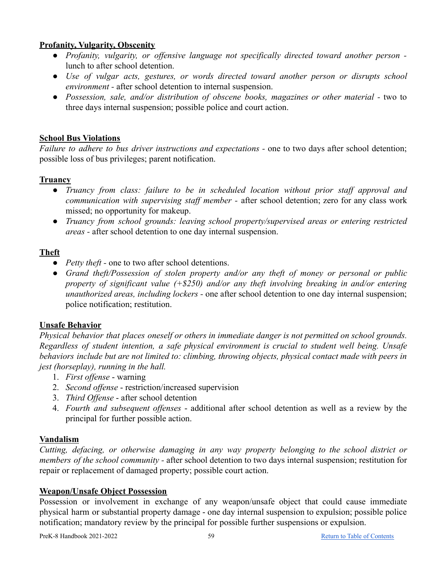### <span id="page-58-0"></span>**Profanity, Vulgarity, Obscenity**

- *Profanity, vulgarity, or offensive language not specifically directed toward another person*  lunch to after school detention.
- *Use of vulgar acts, gestures, or words directed toward another person or disrupts school environment -* after school detention to internal suspension.
- *Possession, sale, and/or distribution of obscene books, magazines or other material -* two to three days internal suspension; possible police and court action.

### <span id="page-58-1"></span>**School Bus Violations**

*Failure to adhere to bus driver instructions and expectations -* one to two days after school detention; possible loss of bus privileges; parent notification.

### <span id="page-58-2"></span>**Truancy**

- *● Truancy from class: failure to be in scheduled location without prior staff approval and communication with supervising staff member -* after school detention; zero for any class work missed; no opportunity for makeup.
- *● Truancy from school grounds: leaving school property/supervised areas or entering restricted areas -* after school detention to one day internal suspension.

### <span id="page-58-3"></span>**Theft**

- *Petty theft* one to two after school detentions.
- *Grand theft/Possession of stolen property and/or any theft of money or personal or public property of significant value (+\$250) and/or any theft involving breaking in and/or entering unauthorized areas, including lockers -* one after school detention to one day internal suspension; police notification; restitution.

### <span id="page-58-4"></span>**Unsafe Behavior**

*Physical behavior that places oneself or others in immediate danger is not permitted on school grounds. Regardless of student intention, a safe physical environment is crucial to student well being. Unsafe behaviors include but are not limited to: climbing, throwing objects, physical contact made with peers in jest (horseplay), running in the hall.*

- 1. *First offense* warning
- 2. *Second offense* restriction/increased supervision
- 3. *Third Offense* after school detention
- 4. *Fourth and subsequent offenses* additional after school detention as well as a review by the principal for further possible action.

### <span id="page-58-5"></span>**Vandalism**

*Cutting, defacing, or otherwise damaging in any way property belonging to the school district or members of the school community -* after school detention to two days internal suspension; restitution for repair or replacement of damaged property; possible court action.

### <span id="page-58-6"></span>**Weapon/Unsafe Object Possession**

Possession or involvement in exchange of any weapon/unsafe object that could cause immediate physical harm or substantial property damage - one day internal suspension to expulsion; possible police notification; mandatory review by the principal for possible further suspensions or expulsion.

PreK-8 Handbook 2021-2022 59 [Return to Table of Contents](#page-1-0)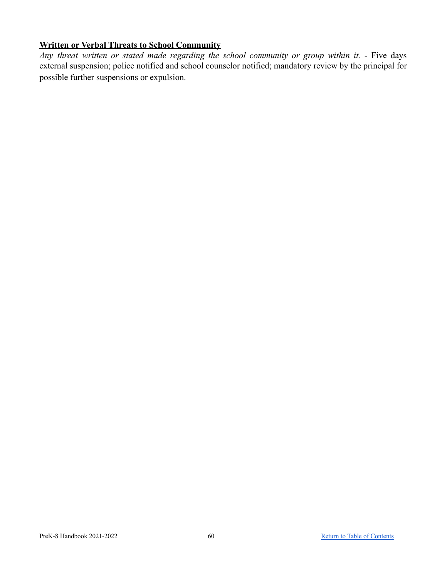### <span id="page-59-0"></span>**Written or Verbal Threats to School Community**

*Any threat written or stated made regarding the school community or group within it. -* Five days external suspension; police notified and school counselor notified; mandatory review by the principal for possible further suspensions or expulsion.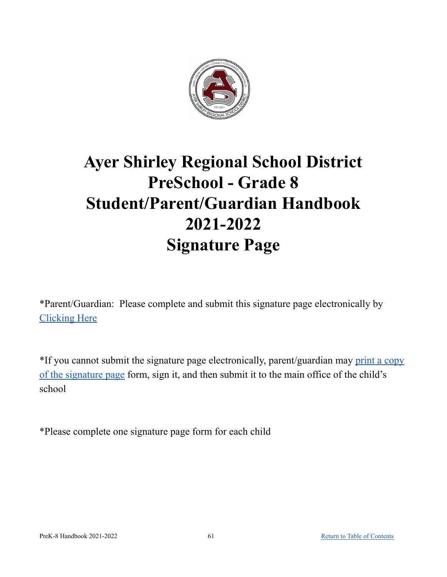

## **Ayer Shirley Regional School District PreSchool - Grade 8 Student/Parent/Guardian Handbook 2021-2022 Signature Page**

\*Parent/Guardian: Please complete and submit this signature page electronically by [Clicking](https://docs.google.com/forms/d/e/1FAIpQLScIlH4AGA5DjFQR2J2oEGmR4JY2KMmtHkaOlZsCsJqAXDfPXQ/viewform?usp=sf_link) Here

\*If you cannot submit the signature page electronically, parent/guardian may print a [copy](#page-61-0) of the [signature](#page-61-0) page form, sign it, and then submit it to the main office of the child's school

\*Please complete one signature page form for each child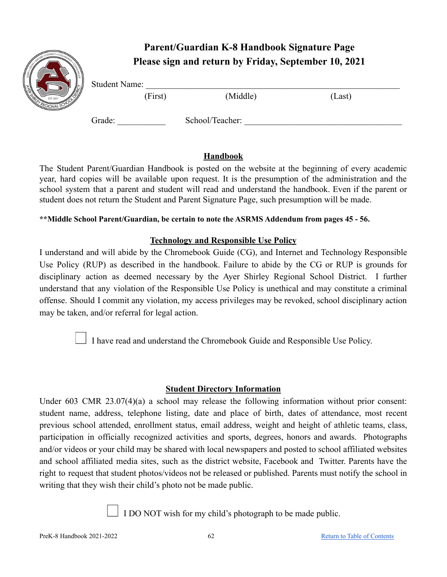# <span id="page-61-0"></span>Student Name: (First) (Middle) (Last)

### **Parent/Guardian K-8 Handbook Signature Page Please sign and return by Friday, September 10, 2021**



Grade: School/Teacher:

The Student Parent/Guardian Handbook is posted on the website at the beginning of every academic year, hard copies will be available upon request. It is the presumption of the administration and the school system that a parent and student will read and understand the handbook. Even if the parent or student does not return the Student and Parent Signature Page, such presumption will be made.

### **\*\*Middle School Parent/Guardian, be certain to note the ASRMS Addendum from pages 45 - 56.**

### **Technology and Responsible Use Policy**

I understand and will abide by the Chromebook Guide (CG), and Internet and Technology Responsible Use Policy (RUP) as described in the handbook. Failure to abide by the CG or RUP is grounds for disciplinary action as deemed necessary by the Ayer Shirley Regional School District. I further understand that any violation of the Responsible Use Policy is unethical and may constitute a criminal offense. Should I commit any violation, my access privileges may be revoked, school disciplinary action may be taken, and/or referral for legal action.

I have read and understand the Chromebook Guide and Responsible Use Policy.

### **Student Directory Information**

Under 603 CMR 23.07(4)(a) a school may release the following information without prior consent: student name, address, telephone listing, date and place of birth, dates of attendance, most recent previous school attended, enrollment status, email address, weight and height of athletic teams, class, participation in officially recognized activities and sports, degrees, honors and awards. Photographs and/or videos or your child may be shared with local newspapers and posted to school affiliated websites and school affiliated media sites, such as the district website, Facebook and Twitter. Parents have the right to request that student photos/videos not be released or published. Parents must notify the school in writing that they wish their child's photo not be made public.

I I DO NOT wish for my child's photograph to be made public.